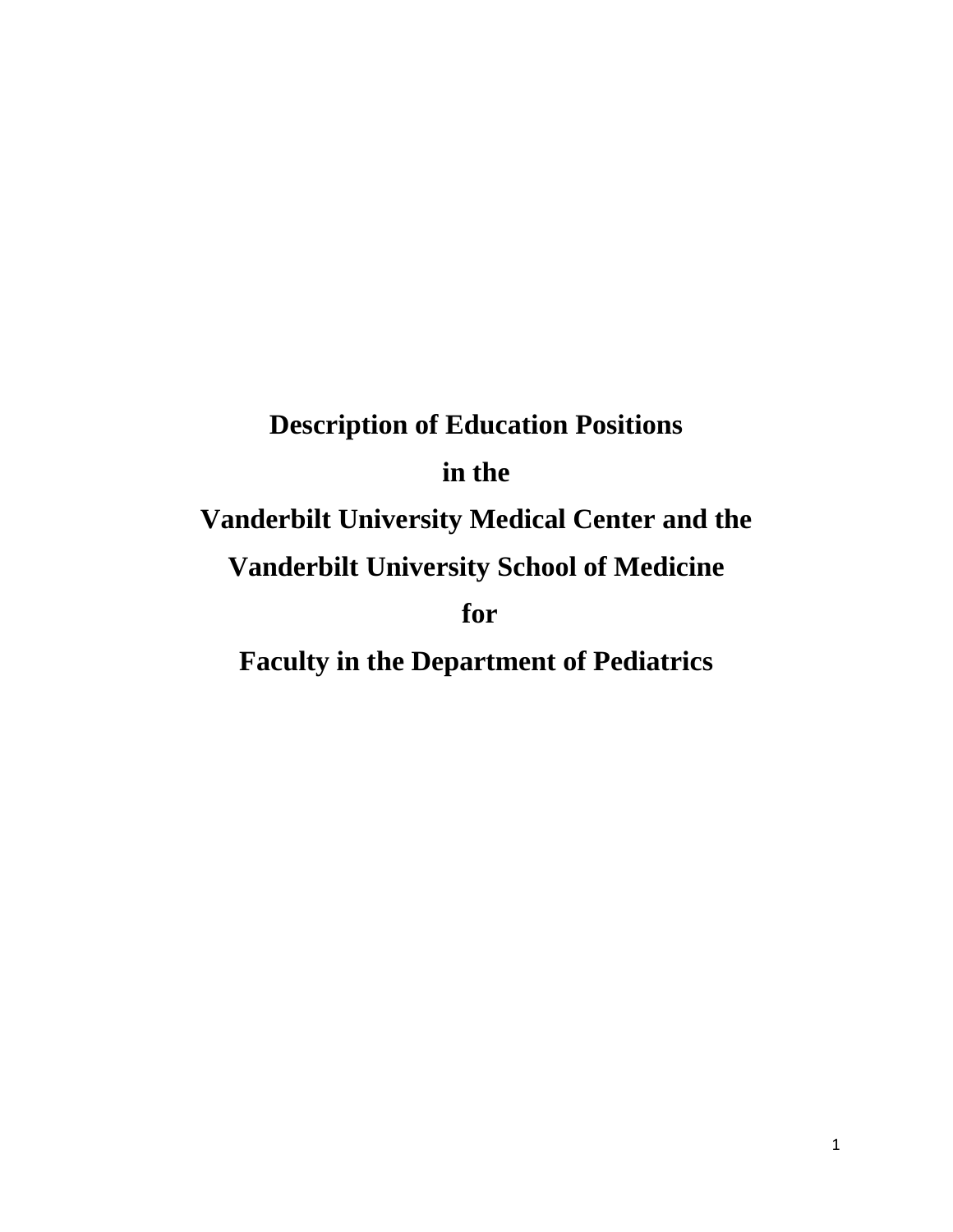# **Description of Education Positions in the Vanderbilt University Medical Center and the Vanderbilt University School of Medicine for Faculty in the Department of Pediatrics**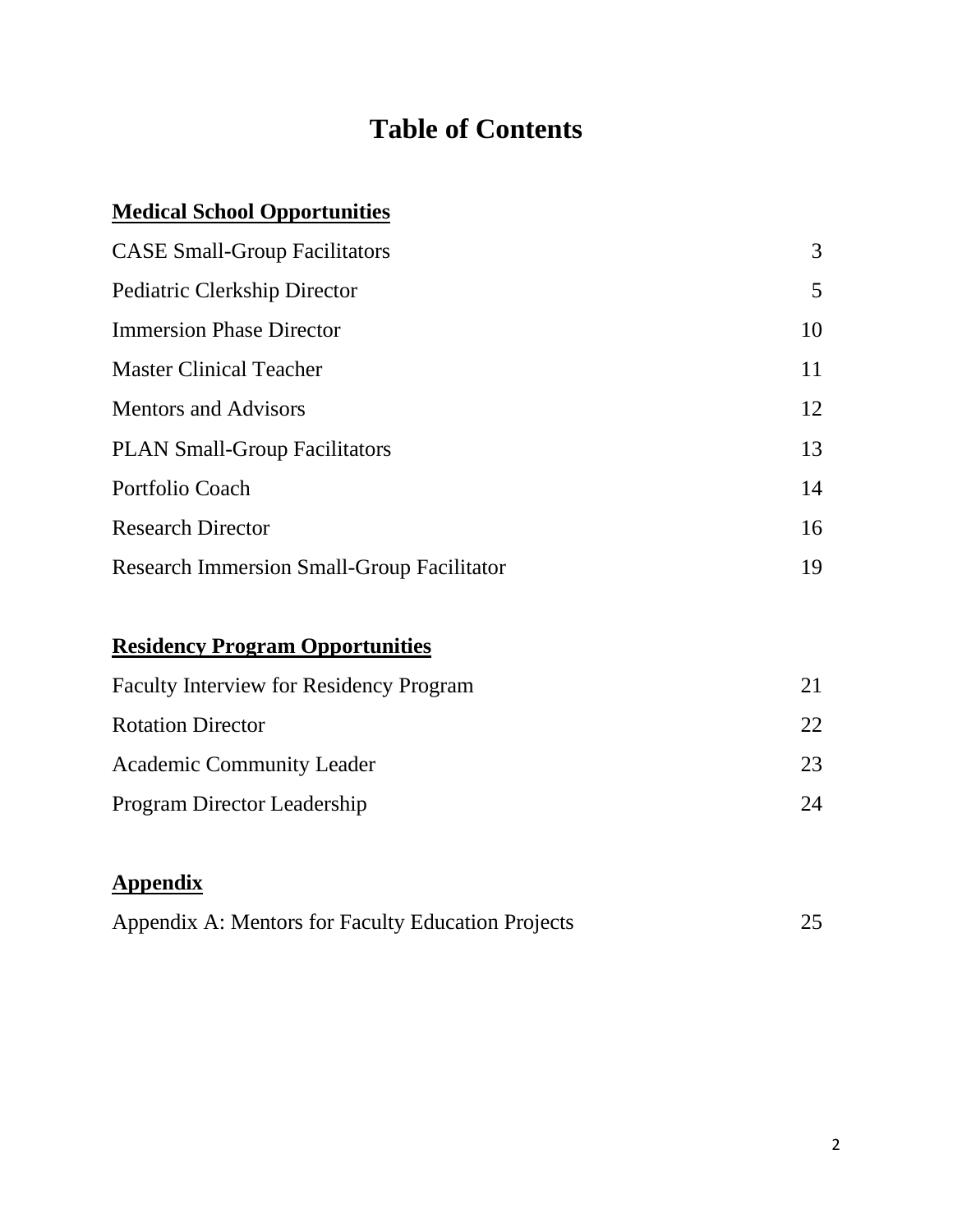## **Table of Contents**

## **Medical School Opportunities**

| <b>CASE Small-Group Facilitators</b>              | 3  |
|---------------------------------------------------|----|
| Pediatric Clerkship Director                      | 5  |
| <b>Immersion Phase Director</b>                   | 10 |
| <b>Master Clinical Teacher</b>                    | 11 |
| <b>Mentors and Advisors</b>                       | 12 |
| <b>PLAN Small-Group Facilitators</b>              | 13 |
| Portfolio Coach                                   | 14 |
| <b>Research Director</b>                          | 16 |
| <b>Research Immersion Small-Group Facilitator</b> | 19 |

## **Residency Program Opportunities**

| <b>Faculty Interview for Residency Program</b> |    |  |
|------------------------------------------------|----|--|
| <b>Rotation Director</b>                       | 22 |  |
| <b>Academic Community Leader</b>               | 23 |  |
| <b>Program Director Leadership</b>             | 24 |  |

## **Appendix**

| Appendix A: Mentors for Faculty Education Projects |  |
|----------------------------------------------------|--|
|----------------------------------------------------|--|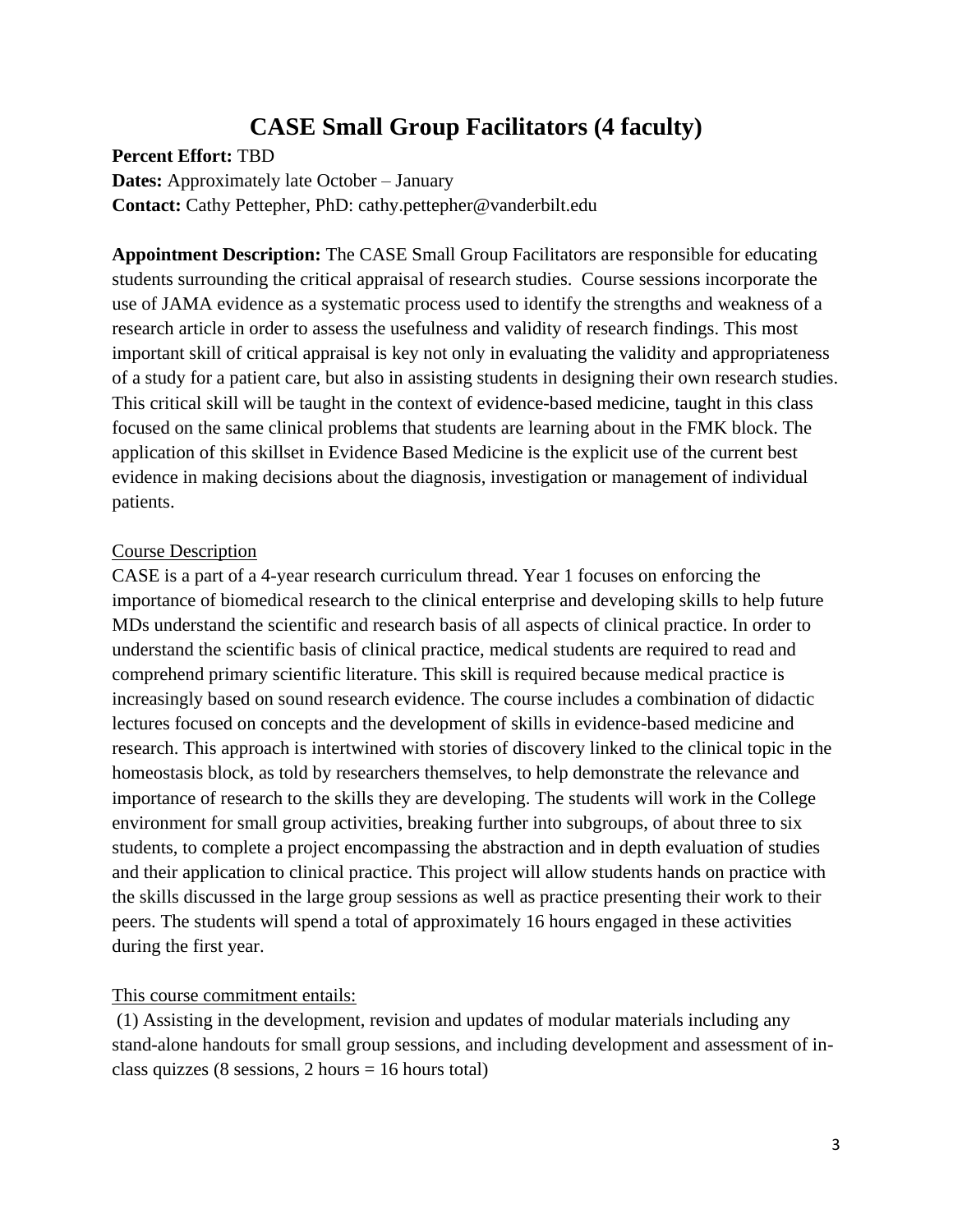## **CASE Small Group Facilitators (4 faculty)**

**Percent Effort:** TBD

**Dates:** Approximately late October – January **Contact:** Cathy Pettepher, PhD: cathy.pettepher@vanderbilt.edu

**Appointment Description:** The CASE Small Group Facilitators are responsible for educating students surrounding the critical appraisal of research studies. Course sessions incorporate the use of JAMA evidence as a systematic process used to identify the strengths and weakness of a research article in order to assess the usefulness and validity of research findings. This most important skill of critical appraisal is key not only in evaluating the validity and appropriateness of a study for a patient care, but also in assisting students in designing their own research studies. This critical skill will be taught in the context of evidence-based medicine, taught in this class focused on the same clinical problems that students are learning about in the FMK block. The application of this skillset in Evidence Based Medicine is the explicit use of the current best evidence in making decisions about the diagnosis, investigation or management of individual patients.

#### Course Description

CASE is a part of a 4-year research curriculum thread. Year 1 focuses on enforcing the importance of biomedical research to the clinical enterprise and developing skills to help future MDs understand the scientific and research basis of all aspects of clinical practice. In order to understand the scientific basis of clinical practice, medical students are required to read and comprehend primary scientific literature. This skill is required because medical practice is increasingly based on sound research evidence. The course includes a combination of didactic lectures focused on concepts and the development of skills in evidence-based medicine and research. This approach is intertwined with stories of discovery linked to the clinical topic in the homeostasis block, as told by researchers themselves, to help demonstrate the relevance and importance of research to the skills they are developing. The students will work in the College environment for small group activities, breaking further into subgroups, of about three to six students, to complete a project encompassing the abstraction and in depth evaluation of studies and their application to clinical practice. This project will allow students hands on practice with the skills discussed in the large group sessions as well as practice presenting their work to their peers. The students will spend a total of approximately 16 hours engaged in these activities during the first year.

#### This course commitment entails:

(1) Assisting in the development, revision and updates of modular materials including any stand-alone handouts for small group sessions, and including development and assessment of inclass quizzes (8 sessions, 2 hours = 16 hours total)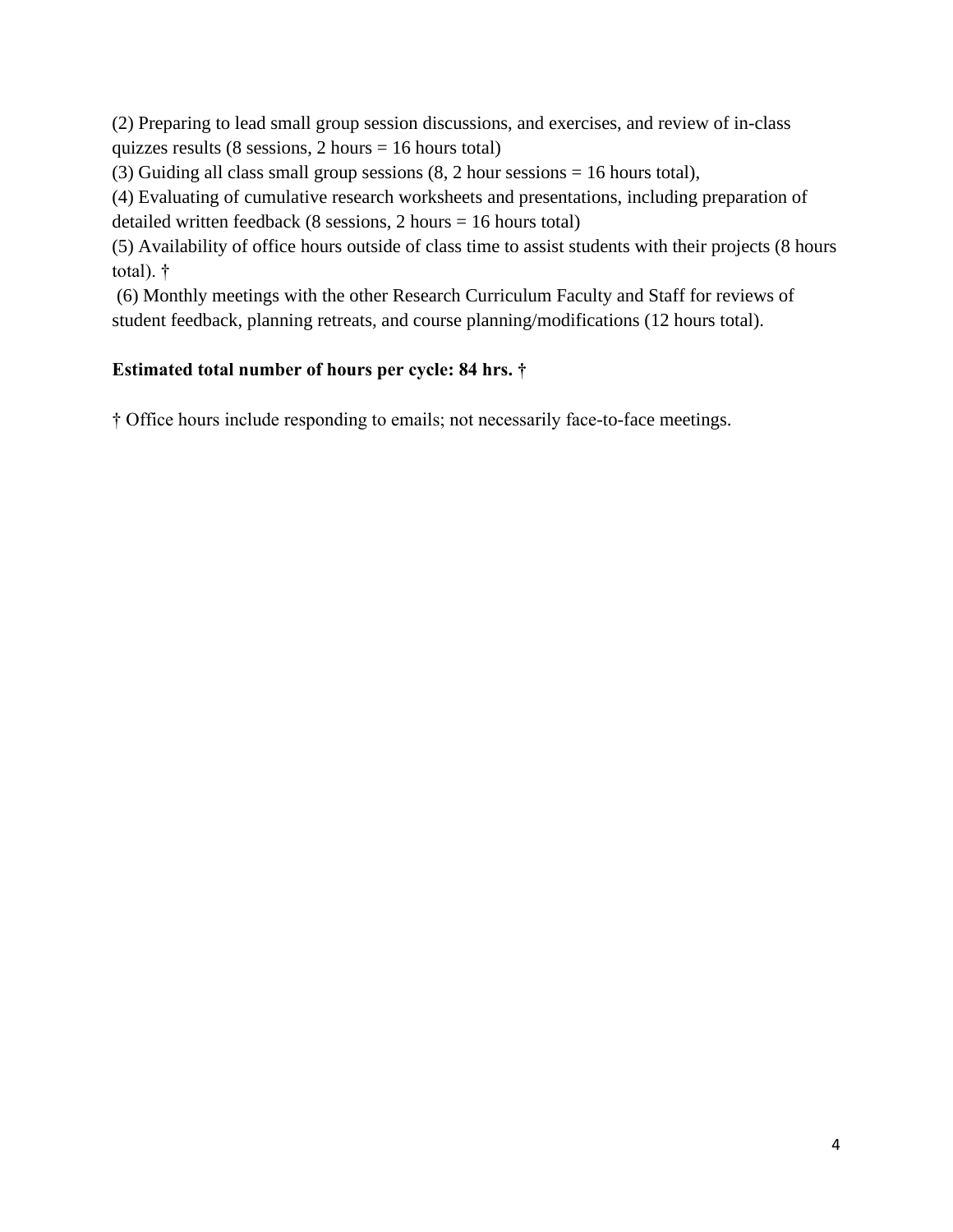(2) Preparing to lead small group session discussions, and exercises, and review of in-class quizzes results (8 sessions, 2 hours = 16 hours total)

(3) Guiding all class small group sessions (8, 2 hour sessions = 16 hours total),

(4) Evaluating of cumulative research worksheets and presentations, including preparation of

detailed written feedback (8 sessions,  $2 \text{ hours} = 16 \text{ hours}$  total)

(5) Availability of office hours outside of class time to assist students with their projects (8 hours total). †

(6) Monthly meetings with the other Research Curriculum Faculty and Staff for reviews of student feedback, planning retreats, and course planning/modifications (12 hours total).

#### **Estimated total number of hours per cycle: 84 hrs. †**

† Office hours include responding to emails; not necessarily face-to-face meetings.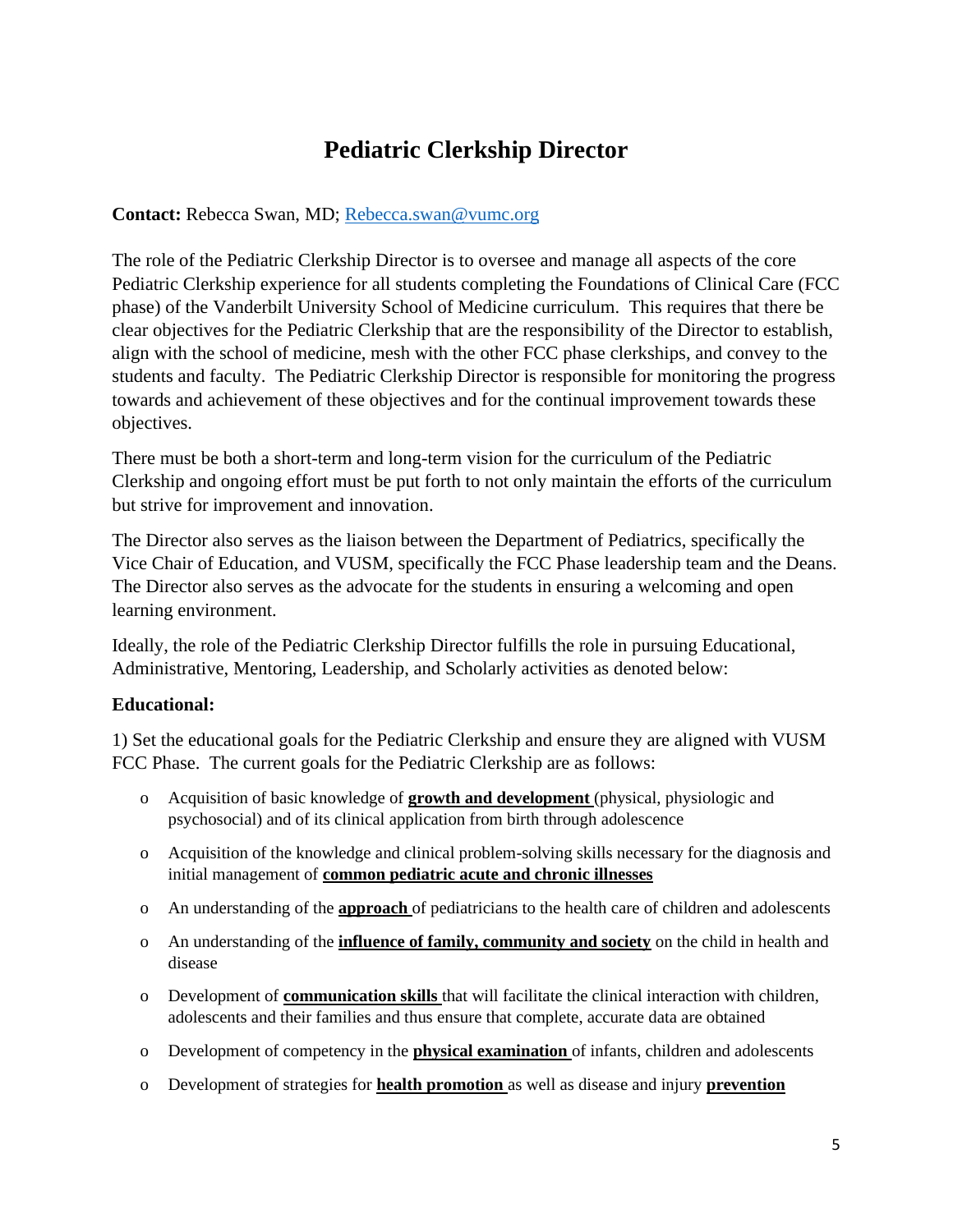## **Pediatric Clerkship Director**

#### **Contact:** Rebecca Swan, MD; [Rebecca.swan@vumc.org](mailto:Rebecca.swan@vumc.org)

The role of the Pediatric Clerkship Director is to oversee and manage all aspects of the core Pediatric Clerkship experience for all students completing the Foundations of Clinical Care (FCC phase) of the Vanderbilt University School of Medicine curriculum. This requires that there be clear objectives for the Pediatric Clerkship that are the responsibility of the Director to establish, align with the school of medicine, mesh with the other FCC phase clerkships, and convey to the students and faculty. The Pediatric Clerkship Director is responsible for monitoring the progress towards and achievement of these objectives and for the continual improvement towards these objectives.

There must be both a short-term and long-term vision for the curriculum of the Pediatric Clerkship and ongoing effort must be put forth to not only maintain the efforts of the curriculum but strive for improvement and innovation.

The Director also serves as the liaison between the Department of Pediatrics, specifically the Vice Chair of Education, and VUSM, specifically the FCC Phase leadership team and the Deans. The Director also serves as the advocate for the students in ensuring a welcoming and open learning environment.

Ideally, the role of the Pediatric Clerkship Director fulfills the role in pursuing Educational, Administrative, Mentoring, Leadership, and Scholarly activities as denoted below:

#### **Educational:**

1) Set the educational goals for the Pediatric Clerkship and ensure they are aligned with VUSM FCC Phase. The current goals for the Pediatric Clerkship are as follows:

- o Acquisition of basic knowledge of **growth and development** (physical, physiologic and psychosocial) and of its clinical application from birth through adolescence
- o Acquisition of the knowledge and clinical problem-solving skills necessary for the diagnosis and initial management of **common pediatric acute and chronic illnesses**
- o An understanding of the **approach** of pediatricians to the health care of children and adolescents
- o An understanding of the **influence of family, community and society** on the child in health and disease
- o Development of **communication skills** that will facilitate the clinical interaction with children, adolescents and their families and thus ensure that complete, accurate data are obtained
- o Development of competency in the **physical examination** of infants, children and adolescents
- o Development of strategies for **health promotion** as well as disease and injury **prevention**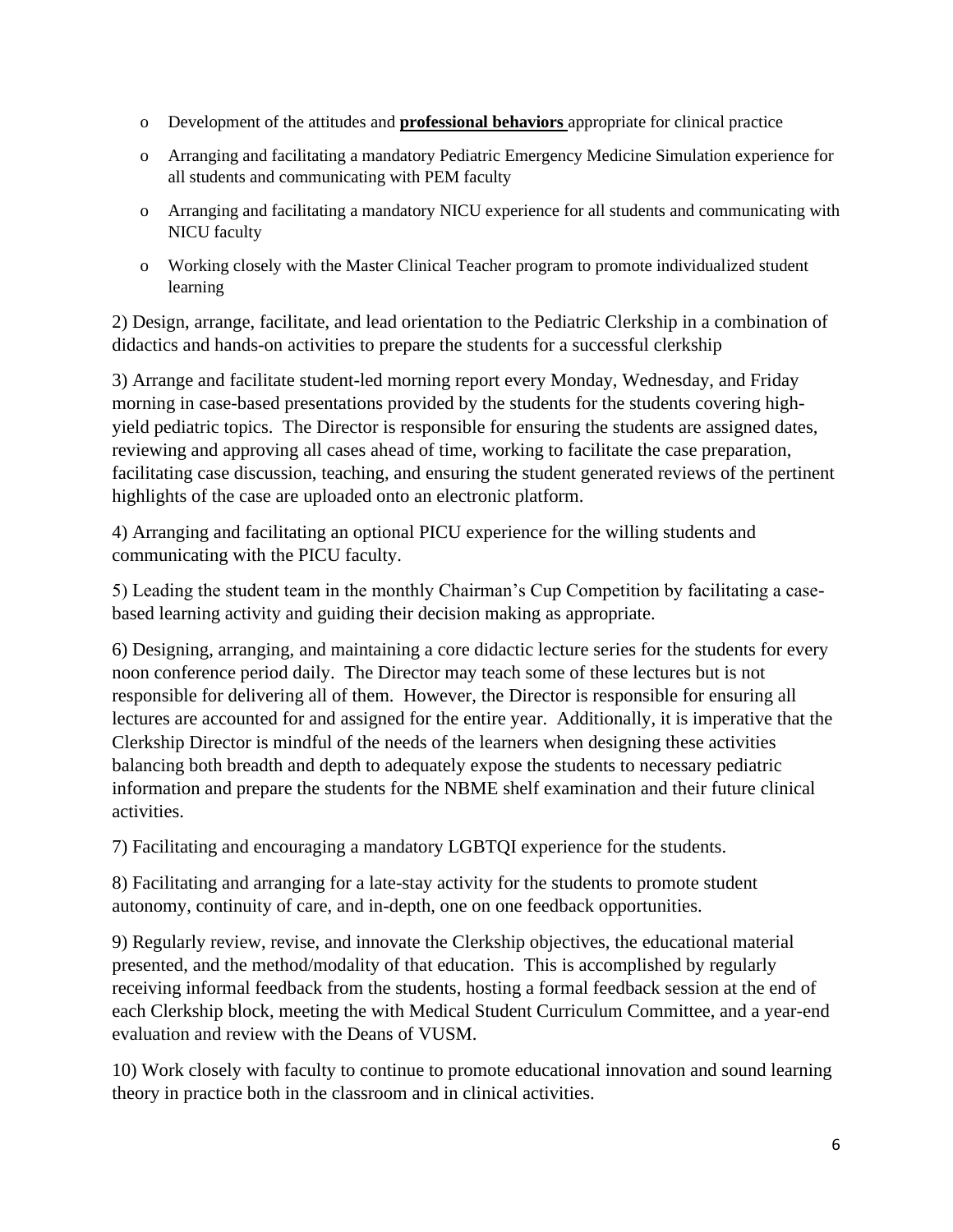- o Development of the attitudes and **professional behaviors** appropriate for clinical practice
- o Arranging and facilitating a mandatory Pediatric Emergency Medicine Simulation experience for all students and communicating with PEM faculty
- o Arranging and facilitating a mandatory NICU experience for all students and communicating with NICU faculty
- o Working closely with the Master Clinical Teacher program to promote individualized student learning

2) Design, arrange, facilitate, and lead orientation to the Pediatric Clerkship in a combination of didactics and hands-on activities to prepare the students for a successful clerkship

3) Arrange and facilitate student-led morning report every Monday, Wednesday, and Friday morning in case-based presentations provided by the students for the students covering highyield pediatric topics. The Director is responsible for ensuring the students are assigned dates, reviewing and approving all cases ahead of time, working to facilitate the case preparation, facilitating case discussion, teaching, and ensuring the student generated reviews of the pertinent highlights of the case are uploaded onto an electronic platform.

4) Arranging and facilitating an optional PICU experience for the willing students and communicating with the PICU faculty.

5) Leading the student team in the monthly Chairman's Cup Competition by facilitating a casebased learning activity and guiding their decision making as appropriate.

6) Designing, arranging, and maintaining a core didactic lecture series for the students for every noon conference period daily. The Director may teach some of these lectures but is not responsible for delivering all of them. However, the Director is responsible for ensuring all lectures are accounted for and assigned for the entire year. Additionally, it is imperative that the Clerkship Director is mindful of the needs of the learners when designing these activities balancing both breadth and depth to adequately expose the students to necessary pediatric information and prepare the students for the NBME shelf examination and their future clinical activities.

7) Facilitating and encouraging a mandatory LGBTQI experience for the students.

8) Facilitating and arranging for a late-stay activity for the students to promote student autonomy, continuity of care, and in-depth, one on one feedback opportunities.

9) Regularly review, revise, and innovate the Clerkship objectives, the educational material presented, and the method/modality of that education. This is accomplished by regularly receiving informal feedback from the students, hosting a formal feedback session at the end of each Clerkship block, meeting the with Medical Student Curriculum Committee, and a year-end evaluation and review with the Deans of VUSM.

10) Work closely with faculty to continue to promote educational innovation and sound learning theory in practice both in the classroom and in clinical activities.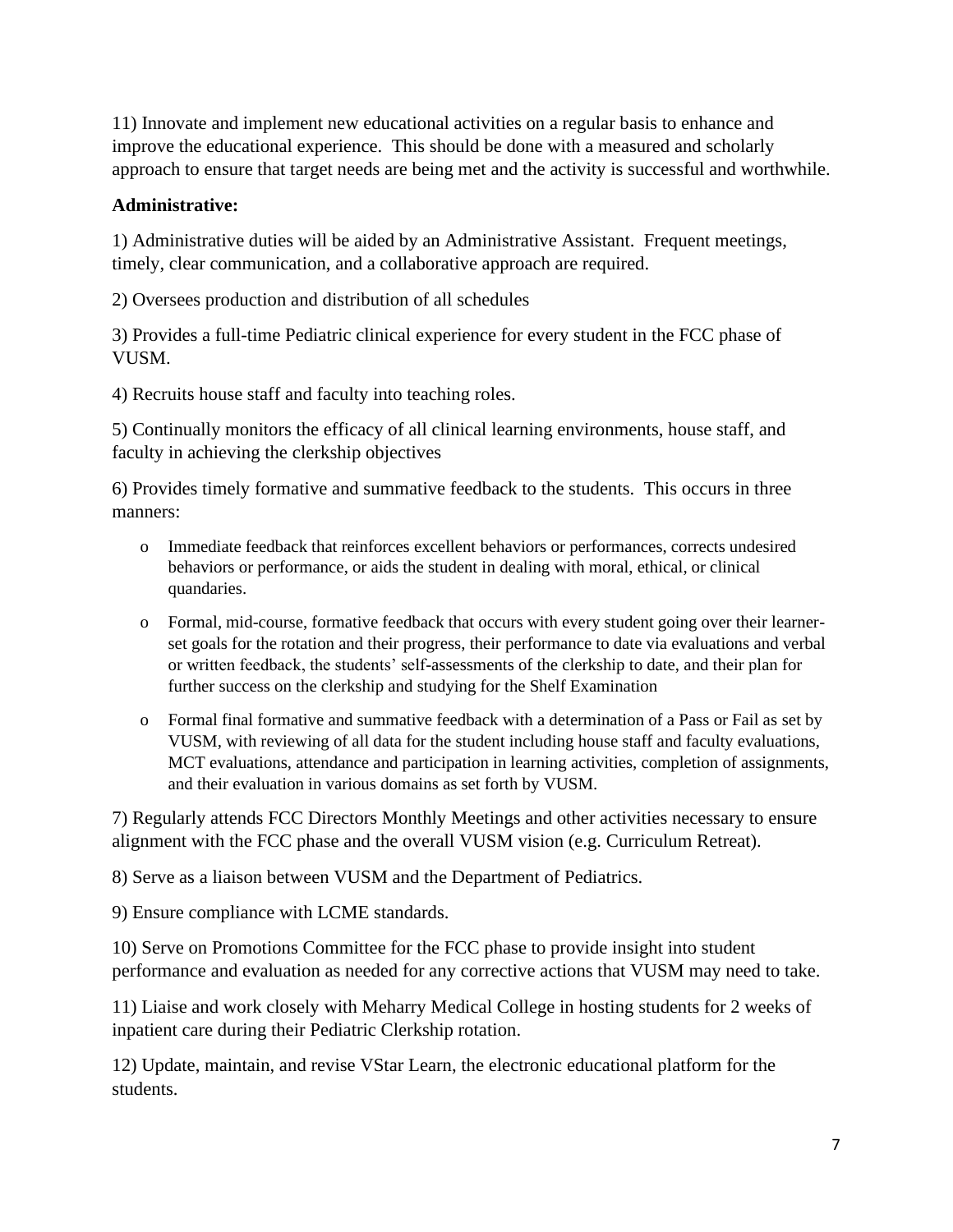11) Innovate and implement new educational activities on a regular basis to enhance and improve the educational experience. This should be done with a measured and scholarly approach to ensure that target needs are being met and the activity is successful and worthwhile.

#### **Administrative:**

1) Administrative duties will be aided by an Administrative Assistant. Frequent meetings, timely, clear communication, and a collaborative approach are required.

2) Oversees production and distribution of all schedules

3) Provides a full-time Pediatric clinical experience for every student in the FCC phase of VUSM.

4) Recruits house staff and faculty into teaching roles.

5) Continually monitors the efficacy of all clinical learning environments, house staff, and faculty in achieving the clerkship objectives

6) Provides timely formative and summative feedback to the students. This occurs in three manners:

- o Immediate feedback that reinforces excellent behaviors or performances, corrects undesired behaviors or performance, or aids the student in dealing with moral, ethical, or clinical quandaries.
- o Formal, mid-course, formative feedback that occurs with every student going over their learnerset goals for the rotation and their progress, their performance to date via evaluations and verbal or written feedback, the students' self-assessments of the clerkship to date, and their plan for further success on the clerkship and studying for the Shelf Examination
- o Formal final formative and summative feedback with a determination of a Pass or Fail as set by VUSM, with reviewing of all data for the student including house staff and faculty evaluations, MCT evaluations, attendance and participation in learning activities, completion of assignments, and their evaluation in various domains as set forth by VUSM.

7) Regularly attends FCC Directors Monthly Meetings and other activities necessary to ensure alignment with the FCC phase and the overall VUSM vision (e.g. Curriculum Retreat).

8) Serve as a liaison between VUSM and the Department of Pediatrics.

9) Ensure compliance with LCME standards.

10) Serve on Promotions Committee for the FCC phase to provide insight into student performance and evaluation as needed for any corrective actions that VUSM may need to take.

11) Liaise and work closely with Meharry Medical College in hosting students for 2 weeks of inpatient care during their Pediatric Clerkship rotation.

12) Update, maintain, and revise VStar Learn, the electronic educational platform for the students.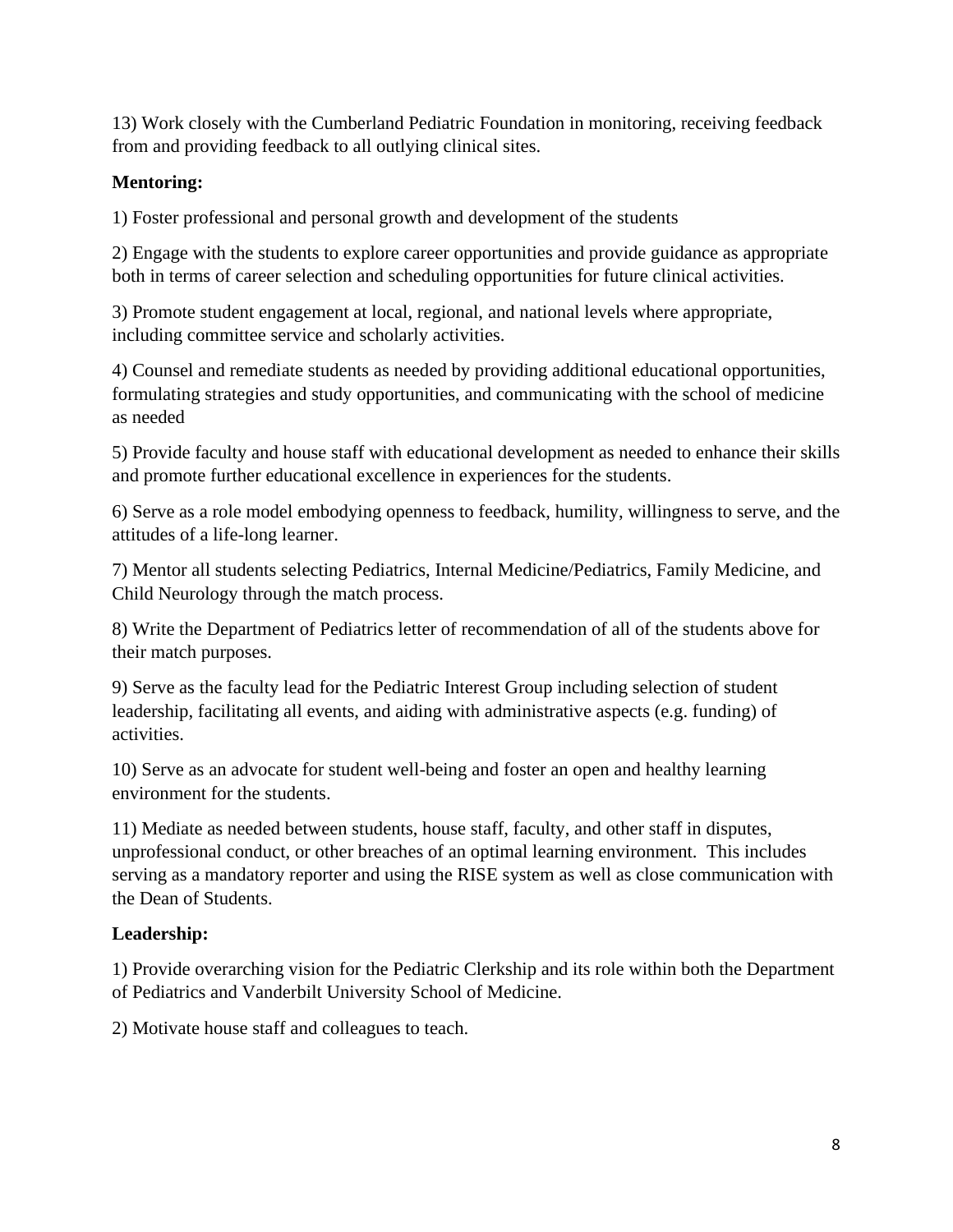13) Work closely with the Cumberland Pediatric Foundation in monitoring, receiving feedback from and providing feedback to all outlying clinical sites.

#### **Mentoring:**

1) Foster professional and personal growth and development of the students

2) Engage with the students to explore career opportunities and provide guidance as appropriate both in terms of career selection and scheduling opportunities for future clinical activities.

3) Promote student engagement at local, regional, and national levels where appropriate, including committee service and scholarly activities.

4) Counsel and remediate students as needed by providing additional educational opportunities, formulating strategies and study opportunities, and communicating with the school of medicine as needed

5) Provide faculty and house staff with educational development as needed to enhance their skills and promote further educational excellence in experiences for the students.

6) Serve as a role model embodying openness to feedback, humility, willingness to serve, and the attitudes of a life-long learner.

7) Mentor all students selecting Pediatrics, Internal Medicine/Pediatrics, Family Medicine, and Child Neurology through the match process.

8) Write the Department of Pediatrics letter of recommendation of all of the students above for their match purposes.

9) Serve as the faculty lead for the Pediatric Interest Group including selection of student leadership, facilitating all events, and aiding with administrative aspects (e.g. funding) of activities.

10) Serve as an advocate for student well-being and foster an open and healthy learning environment for the students.

11) Mediate as needed between students, house staff, faculty, and other staff in disputes, unprofessional conduct, or other breaches of an optimal learning environment. This includes serving as a mandatory reporter and using the RISE system as well as close communication with the Dean of Students.

#### **Leadership:**

1) Provide overarching vision for the Pediatric Clerkship and its role within both the Department of Pediatrics and Vanderbilt University School of Medicine.

2) Motivate house staff and colleagues to teach.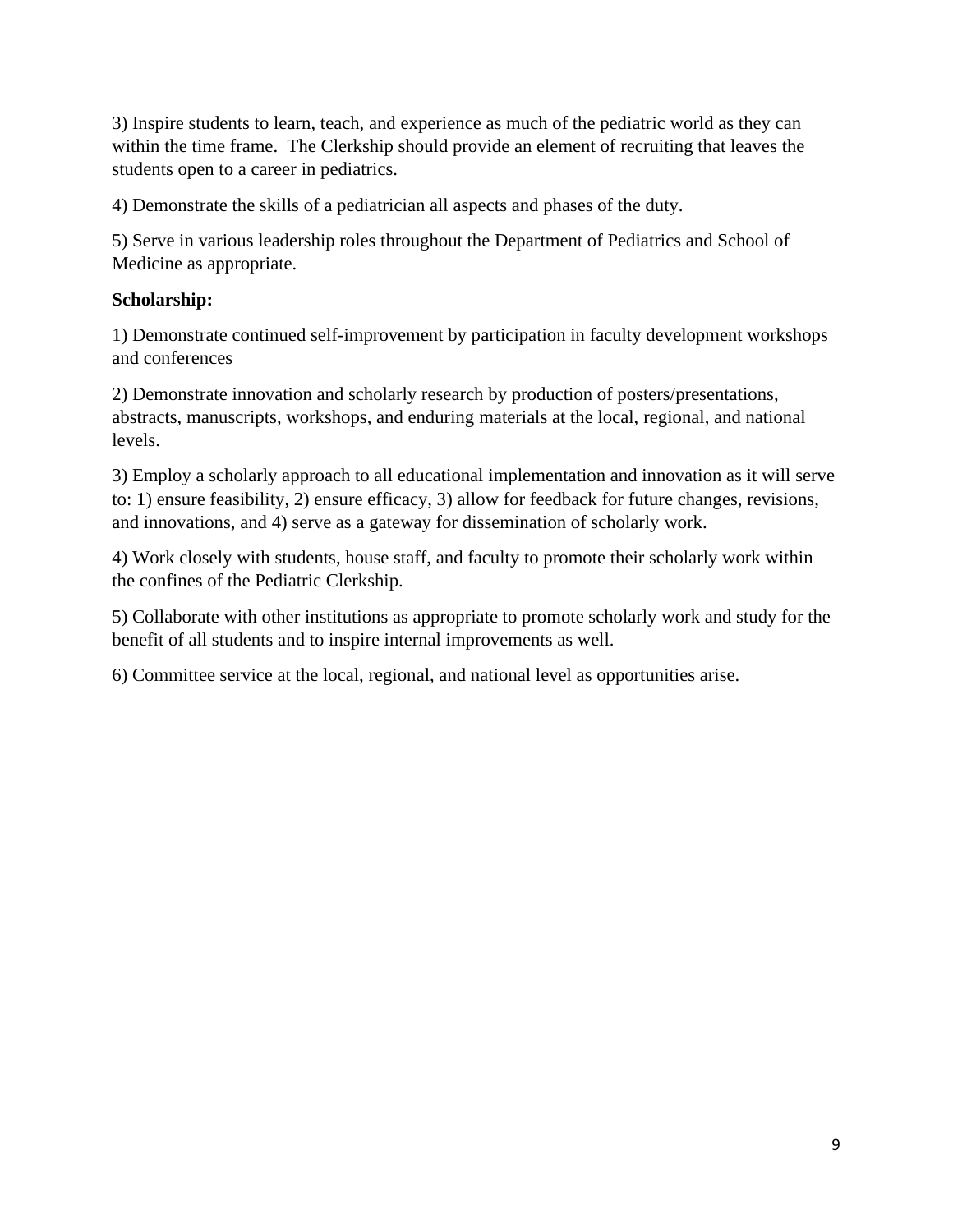3) Inspire students to learn, teach, and experience as much of the pediatric world as they can within the time frame. The Clerkship should provide an element of recruiting that leaves the students open to a career in pediatrics.

4) Demonstrate the skills of a pediatrician all aspects and phases of the duty.

5) Serve in various leadership roles throughout the Department of Pediatrics and School of Medicine as appropriate.

#### **Scholarship:**

1) Demonstrate continued self-improvement by participation in faculty development workshops and conferences

2) Demonstrate innovation and scholarly research by production of posters/presentations, abstracts, manuscripts, workshops, and enduring materials at the local, regional, and national levels.

3) Employ a scholarly approach to all educational implementation and innovation as it will serve to: 1) ensure feasibility, 2) ensure efficacy, 3) allow for feedback for future changes, revisions, and innovations, and 4) serve as a gateway for dissemination of scholarly work.

4) Work closely with students, house staff, and faculty to promote their scholarly work within the confines of the Pediatric Clerkship.

5) Collaborate with other institutions as appropriate to promote scholarly work and study for the benefit of all students and to inspire internal improvements as well.

6) Committee service at the local, regional, and national level as opportunities arise.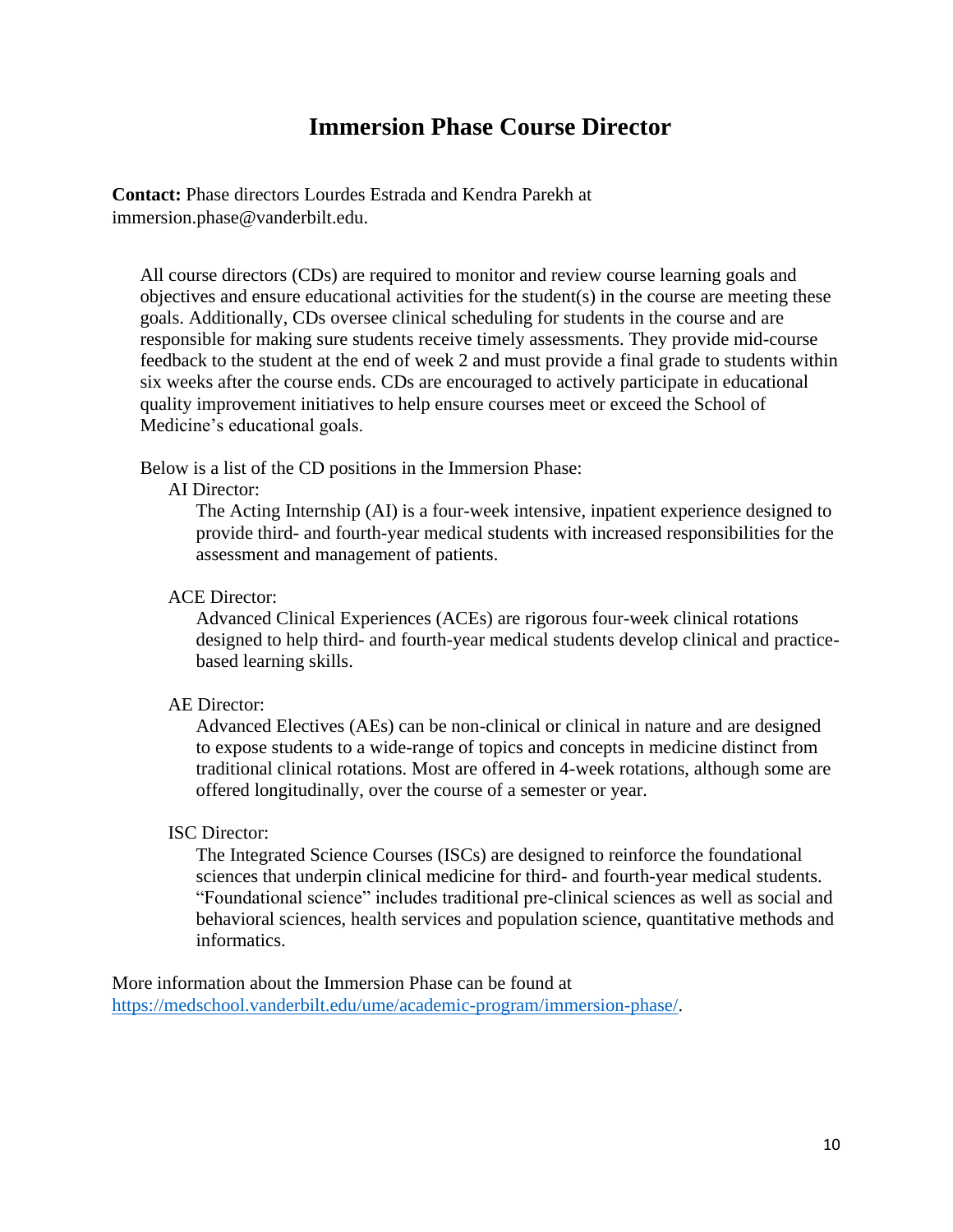## **Immersion Phase Course Director**

**Contact:** Phase directors Lourdes Estrada and Kendra Parekh at immersion.phase@vanderbilt.edu.

All course directors (CDs) are required to monitor and review course learning goals and objectives and ensure educational activities for the student(s) in the course are meeting these goals. Additionally, CDs oversee clinical scheduling for students in the course and are responsible for making sure students receive timely assessments. They provide mid-course feedback to the student at the end of week 2 and must provide a final grade to students within six weeks after the course ends. CDs are encouraged to actively participate in educational quality improvement initiatives to help ensure courses meet or exceed the School of Medicine's educational goals.

Below is a list of the CD positions in the Immersion Phase:

AI Director:

The Acting Internship (AI) is a four-week intensive, inpatient experience designed to provide third- and fourth-year medical students with increased responsibilities for the assessment and management of patients.

#### ACE Director:

Advanced Clinical Experiences (ACEs) are rigorous four-week clinical rotations designed to help third- and fourth-year medical students develop clinical and practicebased learning skills.

#### AE Director:

Advanced Electives (AEs) can be non-clinical or clinical in nature and are designed to expose students to a wide-range of topics and concepts in medicine distinct from traditional clinical rotations. Most are offered in 4-week rotations, although some are offered longitudinally, over the course of a semester or year.

#### ISC Director:

The Integrated Science Courses (ISCs) are designed to reinforce the foundational sciences that underpin clinical medicine for third- and fourth-year medical students. "Foundational science" includes traditional pre-clinical sciences as well as social and behavioral sciences, health services and population science, quantitative methods and informatics.

More information about the Immersion Phase can be found at [https://medschool.vanderbilt.edu/ume/academic-program/immersion-phase/.](https://medschool.vanderbilt.edu/ume/academic-program/immersion-phase/)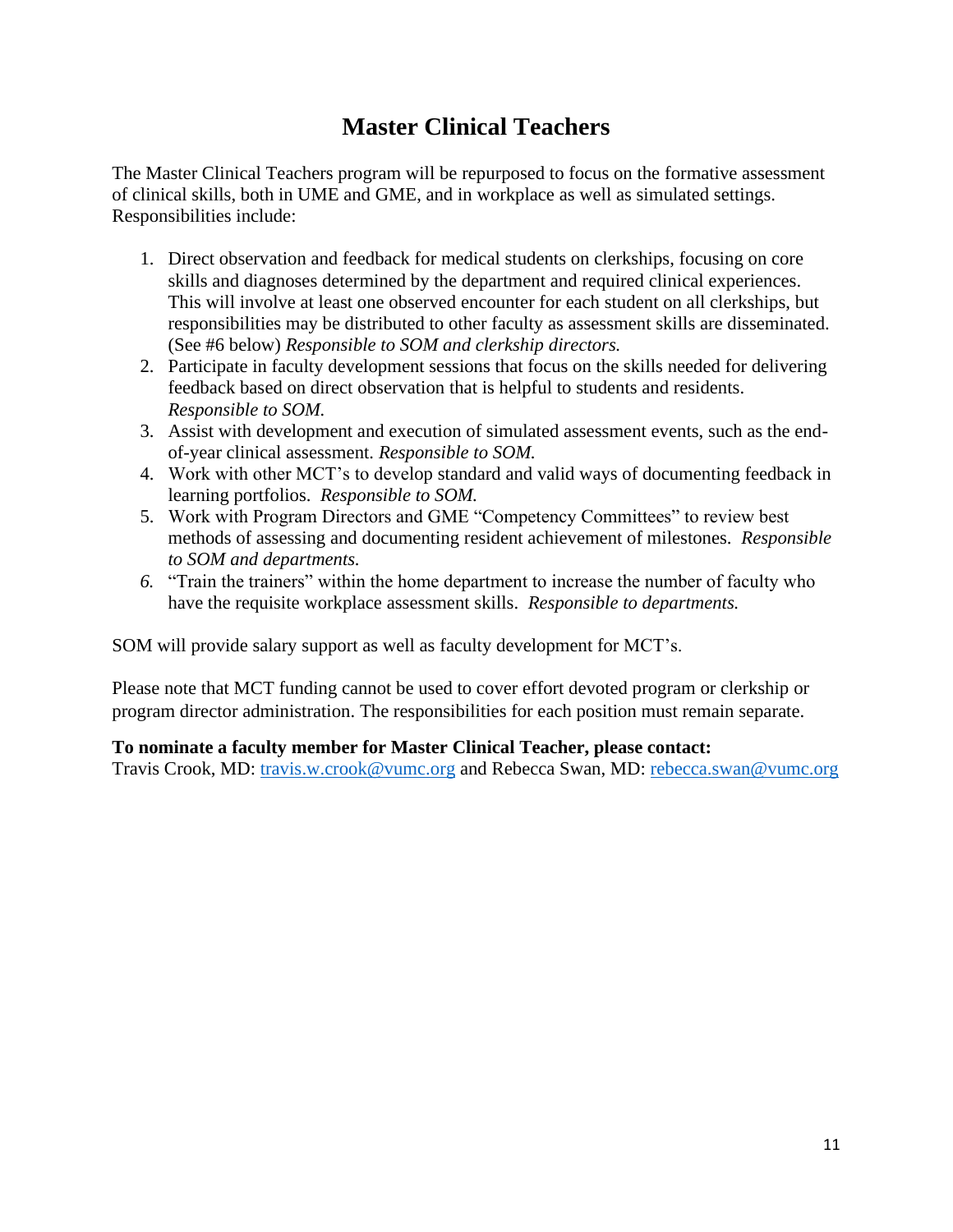## **Master Clinical Teachers**

The Master Clinical Teachers program will be repurposed to focus on the formative assessment of clinical skills, both in UME and GME, and in workplace as well as simulated settings. Responsibilities include:

- 1. Direct observation and feedback for medical students on clerkships, focusing on core skills and diagnoses determined by the department and required clinical experiences. This will involve at least one observed encounter for each student on all clerkships, but responsibilities may be distributed to other faculty as assessment skills are disseminated. (See #6 below) *Responsible to SOM and clerkship directors.*
- 2. Participate in faculty development sessions that focus on the skills needed for delivering feedback based on direct observation that is helpful to students and residents. *Responsible to SOM.*
- 3. Assist with development and execution of simulated assessment events, such as the endof-year clinical assessment. *Responsible to SOM.*
- 4. Work with other MCT's to develop standard and valid ways of documenting feedback in learning portfolios. *Responsible to SOM.*
- 5. Work with Program Directors and GME "Competency Committees" to review best methods of assessing and documenting resident achievement of milestones. *Responsible to SOM and departments.*
- *6.* "Train the trainers" within the home department to increase the number of faculty who have the requisite workplace assessment skills. *Responsible to departments.*

SOM will provide salary support as well as faculty development for MCT's.

Please note that MCT funding cannot be used to cover effort devoted program or clerkship or program director administration. The responsibilities for each position must remain separate.

#### **To nominate a faculty member for Master Clinical Teacher, please contact:**

Travis Crook, MD: [travis.w.crook@vumc.org](mailto:travis.w.crook@vumc.org) and Rebecca Swan, MD: [rebecca.swan@vumc.org](mailto:rebecca.swan@vumc.org)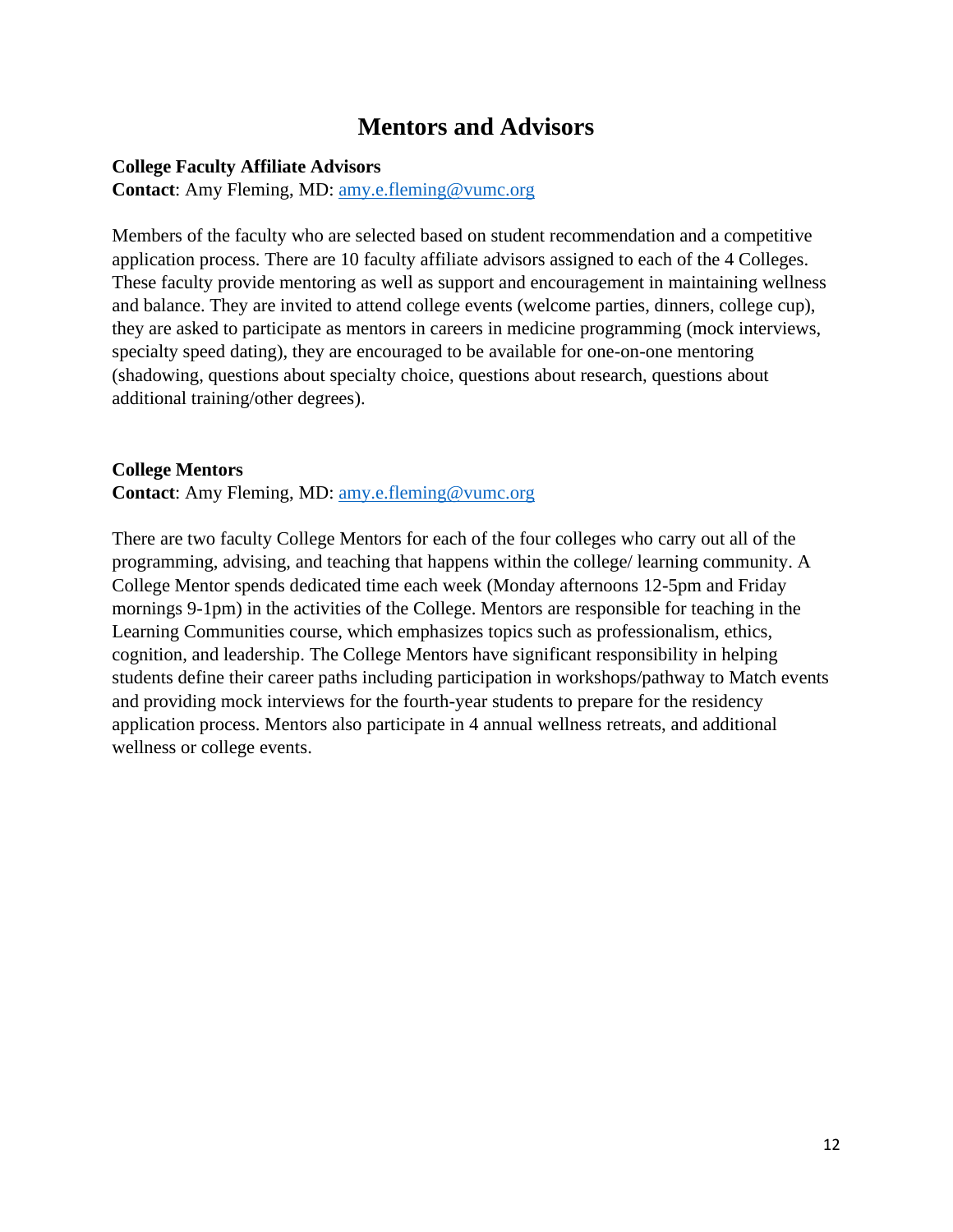## **Mentors and Advisors**

#### **College Faculty Affiliate Advisors**

**Contact**: Amy Fleming, MD: [amy.e.fleming@vumc.org](mailto:amy.e.fleming@vumc.org)

Members of the faculty who are selected based on student recommendation and a competitive application process. There are 10 faculty affiliate advisors assigned to each of the 4 Colleges. These faculty provide mentoring as well as support and encouragement in maintaining wellness and balance. They are invited to attend college events (welcome parties, dinners, college cup), they are asked to participate as mentors in careers in medicine programming (mock interviews, specialty speed dating), they are encouraged to be available for one-on-one mentoring (shadowing, questions about specialty choice, questions about research, questions about additional training/other degrees).

#### **College Mentors**

**Contact:** Amy Fleming, MD: [amy.e.fleming@vumc.org](mailto:amy.e.fleming@vumc.org)

There are two faculty College Mentors for each of the four colleges who carry out all of the programming, advising, and teaching that happens within the college/ learning community. A College Mentor spends dedicated time each week (Monday afternoons 12-5pm and Friday mornings 9-1pm) in the activities of the College. Mentors are responsible for teaching in the Learning Communities course, which emphasizes topics such as professionalism, ethics, cognition, and leadership. The College Mentors have significant responsibility in helping students define their career paths including participation in workshops/pathway to Match events and providing mock interviews for the fourth-year students to prepare for the residency application process. Mentors also participate in 4 annual wellness retreats, and additional wellness or college events.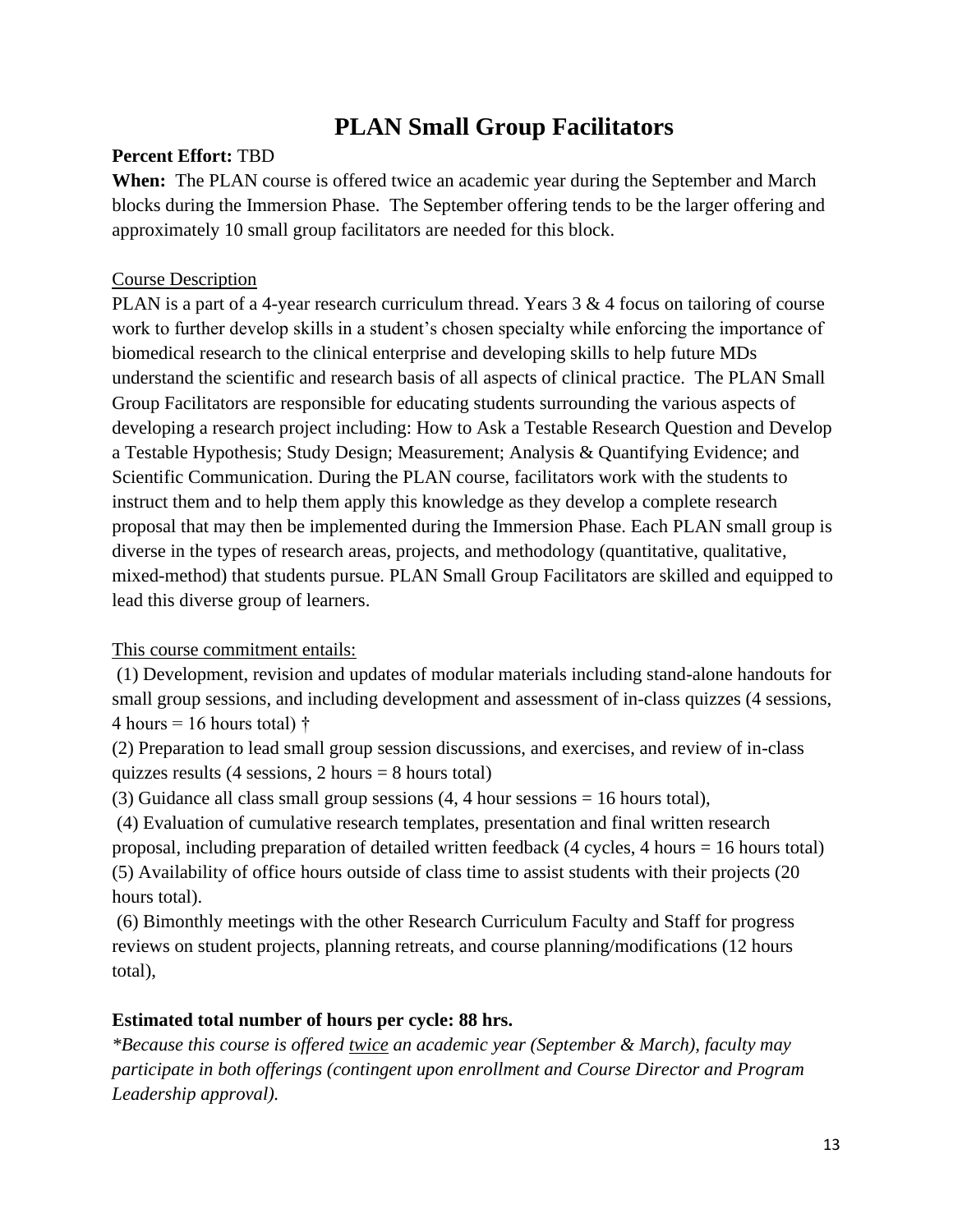## **PLAN Small Group Facilitators**

#### **Percent Effort:** TBD

**When:** The PLAN course is offered twice an academic year during the September and March blocks during the Immersion Phase. The September offering tends to be the larger offering and approximately 10 small group facilitators are needed for this block.

#### Course Description

PLAN is a part of a 4-year research curriculum thread. Years  $3 \& 4$  focus on tailoring of course work to further develop skills in a student's chosen specialty while enforcing the importance of biomedical research to the clinical enterprise and developing skills to help future MDs understand the scientific and research basis of all aspects of clinical practice. The PLAN Small Group Facilitators are responsible for educating students surrounding the various aspects of developing a research project including: How to Ask a Testable Research Question and Develop a Testable Hypothesis; Study Design; Measurement; Analysis & Quantifying Evidence; and Scientific Communication. During the PLAN course, facilitators work with the students to instruct them and to help them apply this knowledge as they develop a complete research proposal that may then be implemented during the Immersion Phase. Each PLAN small group is diverse in the types of research areas, projects, and methodology (quantitative, qualitative, mixed-method) that students pursue. PLAN Small Group Facilitators are skilled and equipped to lead this diverse group of learners.

#### This course commitment entails:

(1) Development, revision and updates of modular materials including stand-alone handouts for small group sessions, and including development and assessment of in-class quizzes (4 sessions, 4 hours = 16 hours total)  $\dagger$ 

(2) Preparation to lead small group session discussions, and exercises, and review of in-class quizzes results (4 sessions, 2 hours  $= 8$  hours total)

(3) Guidance all class small group sessions  $(4, 4$  hour sessions = 16 hours total),

(4) Evaluation of cumulative research templates, presentation and final written research proposal, including preparation of detailed written feedback  $(4 \text{ cycles}, 4 \text{ hours} = 16 \text{ hours total})$ (5) Availability of office hours outside of class time to assist students with their projects (20 hours total).

(6) Bimonthly meetings with the other Research Curriculum Faculty and Staff for progress reviews on student projects, planning retreats, and course planning/modifications (12 hours total),

#### **Estimated total number of hours per cycle: 88 hrs.**

*\*Because this course is offered twice an academic year (September & March), faculty may participate in both offerings (contingent upon enrollment and Course Director and Program Leadership approval).*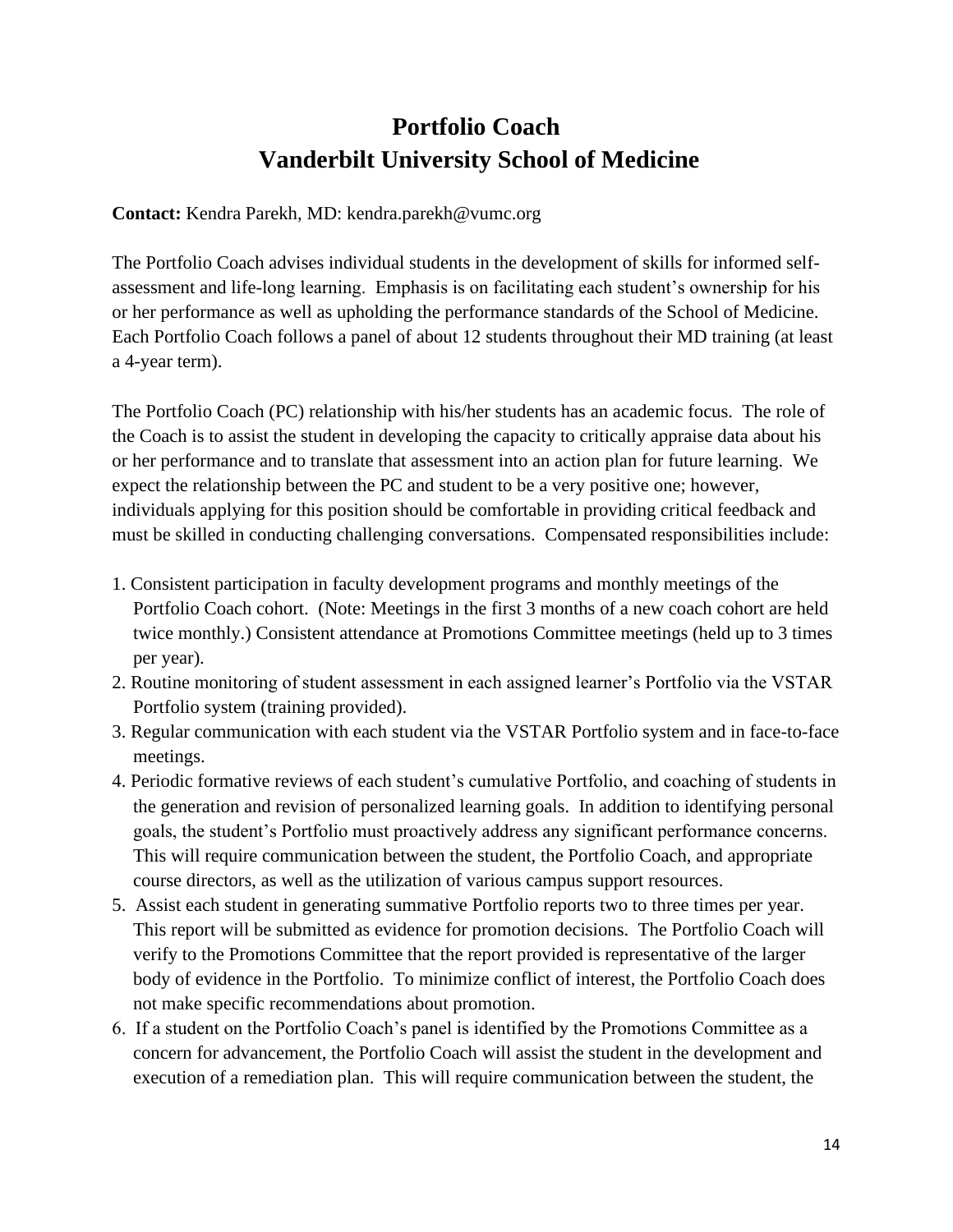## **Portfolio Coach Vanderbilt University School of Medicine**

**Contact:** Kendra Parekh, MD: kendra.parekh@vumc.org

The Portfolio Coach advises individual students in the development of skills for informed selfassessment and life-long learning. Emphasis is on facilitating each student's ownership for his or her performance as well as upholding the performance standards of the School of Medicine. Each Portfolio Coach follows a panel of about 12 students throughout their MD training (at least a 4-year term).

The Portfolio Coach (PC) relationship with his/her students has an academic focus. The role of the Coach is to assist the student in developing the capacity to critically appraise data about his or her performance and to translate that assessment into an action plan for future learning. We expect the relationship between the PC and student to be a very positive one; however, individuals applying for this position should be comfortable in providing critical feedback and must be skilled in conducting challenging conversations. Compensated responsibilities include:

- 1. Consistent participation in faculty development programs and monthly meetings of the Portfolio Coach cohort. (Note: Meetings in the first 3 months of a new coach cohort are held twice monthly.) Consistent attendance at Promotions Committee meetings (held up to 3 times per year).
- 2. Routine monitoring of student assessment in each assigned learner's Portfolio via the VSTAR Portfolio system (training provided).
- 3. Regular communication with each student via the VSTAR Portfolio system and in face-to-face meetings.
- 4. Periodic formative reviews of each student's cumulative Portfolio, and coaching of students in the generation and revision of personalized learning goals. In addition to identifying personal goals, the student's Portfolio must proactively address any significant performance concerns. This will require communication between the student, the Portfolio Coach, and appropriate course directors, as well as the utilization of various campus support resources.
- 5. Assist each student in generating summative Portfolio reports two to three times per year. This report will be submitted as evidence for promotion decisions. The Portfolio Coach will verify to the Promotions Committee that the report provided is representative of the larger body of evidence in the Portfolio. To minimize conflict of interest, the Portfolio Coach does not make specific recommendations about promotion.
- 6. If a student on the Portfolio Coach's panel is identified by the Promotions Committee as a concern for advancement, the Portfolio Coach will assist the student in the development and execution of a remediation plan. This will require communication between the student, the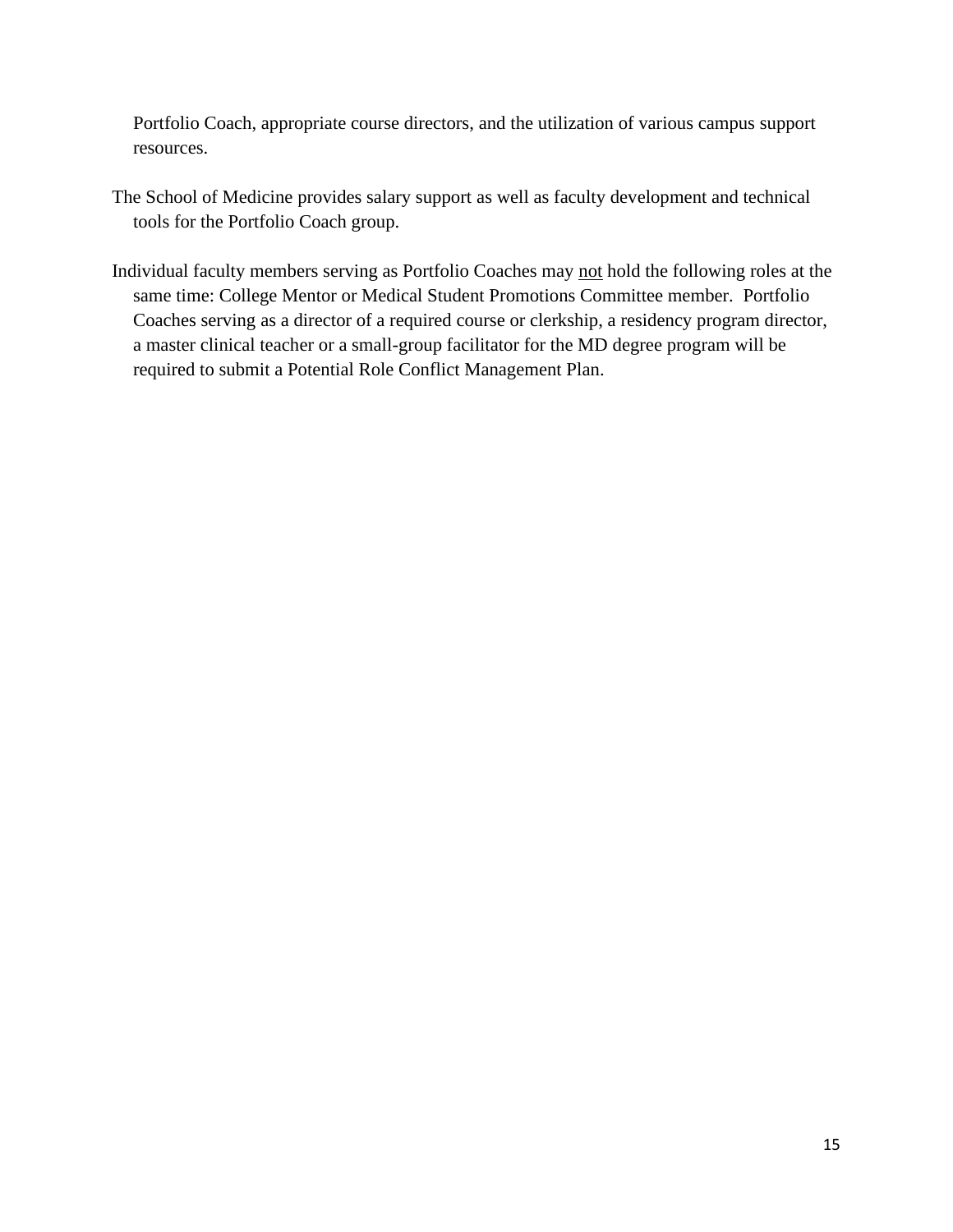Portfolio Coach, appropriate course directors, and the utilization of various campus support resources.

- The School of Medicine provides salary support as well as faculty development and technical tools for the Portfolio Coach group.
- Individual faculty members serving as Portfolio Coaches may not hold the following roles at the same time: College Mentor or Medical Student Promotions Committee member. Portfolio Coaches serving as a director of a required course or clerkship, a residency program director, a master clinical teacher or a small-group facilitator for the MD degree program will be required to submit a Potential Role Conflict Management Plan.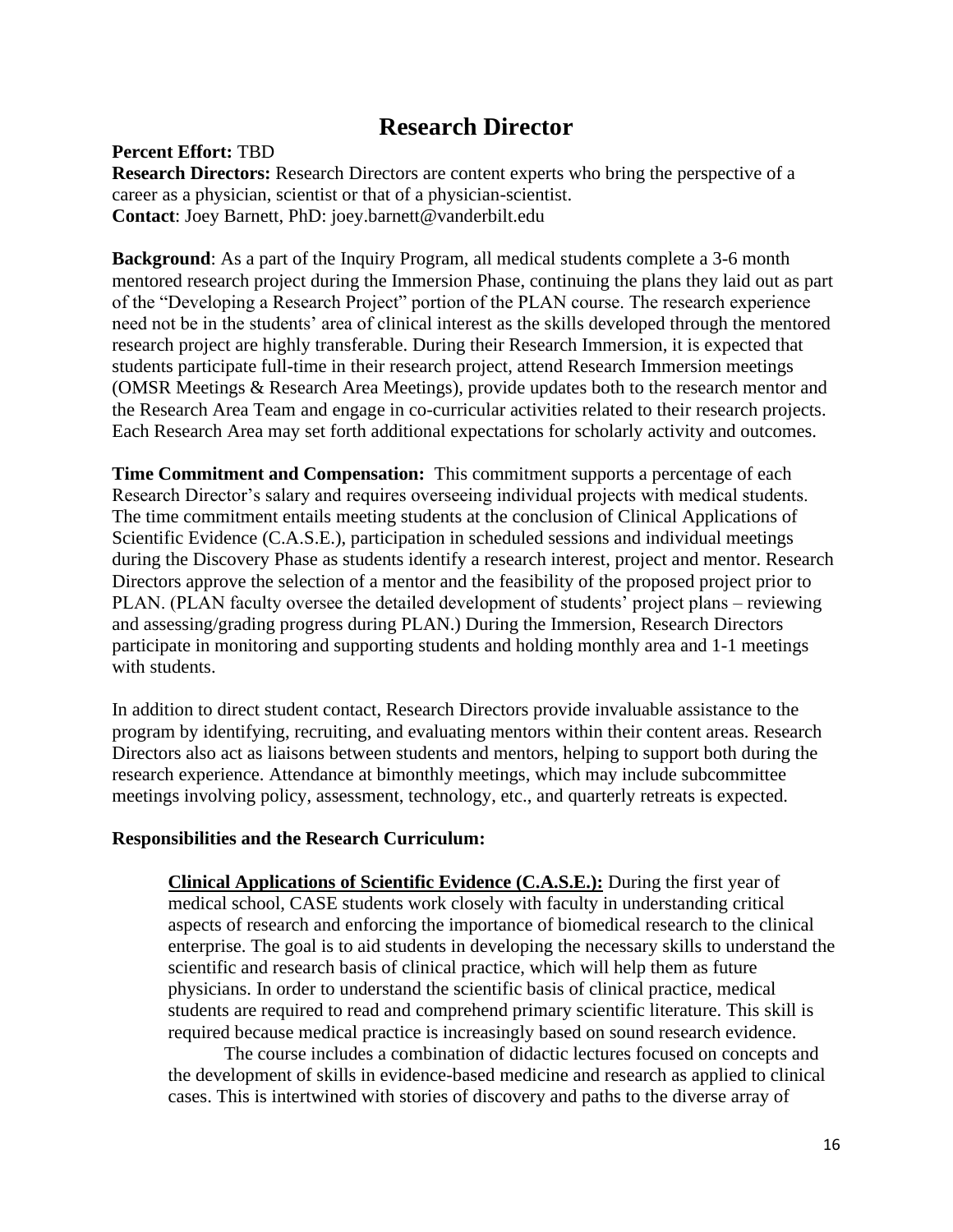## **Research Director**

#### **Percent Effort:** TBD

**Research Directors:** Research Directors are content experts who bring the perspective of a career as a physician, scientist or that of a physician-scientist. **Contact**: Joey Barnett, PhD: joey.barnett@vanderbilt.edu

**Background**: As a part of the Inquiry Program, all medical students complete a 3-6 month mentored research project during the Immersion Phase, continuing the plans they laid out as part of the "Developing a Research Project" portion of the PLAN course. The research experience need not be in the students' area of clinical interest as the skills developed through the mentored research project are highly transferable. During their Research Immersion, it is expected that students participate full-time in their research project, attend Research Immersion meetings (OMSR Meetings & Research Area Meetings), provide updates both to the research mentor and the Research Area Team and engage in co-curricular activities related to their research projects. Each Research Area may set forth additional expectations for scholarly activity and outcomes.

**Time Commitment and Compensation:** This commitment supports a percentage of each Research Director's salary and requires overseeing individual projects with medical students. The time commitment entails meeting students at the conclusion of Clinical Applications of Scientific Evidence (C.A.S.E.), participation in scheduled sessions and individual meetings during the Discovery Phase as students identify a research interest, project and mentor. Research Directors approve the selection of a mentor and the feasibility of the proposed project prior to PLAN. (PLAN faculty oversee the detailed development of students' project plans – reviewing and assessing/grading progress during PLAN.) During the Immersion, Research Directors participate in monitoring and supporting students and holding monthly area and 1-1 meetings with students.

In addition to direct student contact, Research Directors provide invaluable assistance to the program by identifying, recruiting, and evaluating mentors within their content areas. Research Directors also act as liaisons between students and mentors, helping to support both during the research experience. Attendance at bimonthly meetings, which may include subcommittee meetings involving policy, assessment, technology, etc., and quarterly retreats is expected.

#### **Responsibilities and the Research Curriculum:**

**Clinical Applications of Scientific Evidence (C.A.S.E.):** During the first year of medical school, CASE students work closely with faculty in understanding critical aspects of research and enforcing the importance of biomedical research to the clinical enterprise. The goal is to aid students in developing the necessary skills to understand the scientific and research basis of clinical practice, which will help them as future physicians. In order to understand the scientific basis of clinical practice, medical students are required to read and comprehend primary scientific literature. This skill is required because medical practice is increasingly based on sound research evidence.

The course includes a combination of didactic lectures focused on concepts and the development of skills in evidence-based medicine and research as applied to clinical cases. This is intertwined with stories of discovery and paths to the diverse array of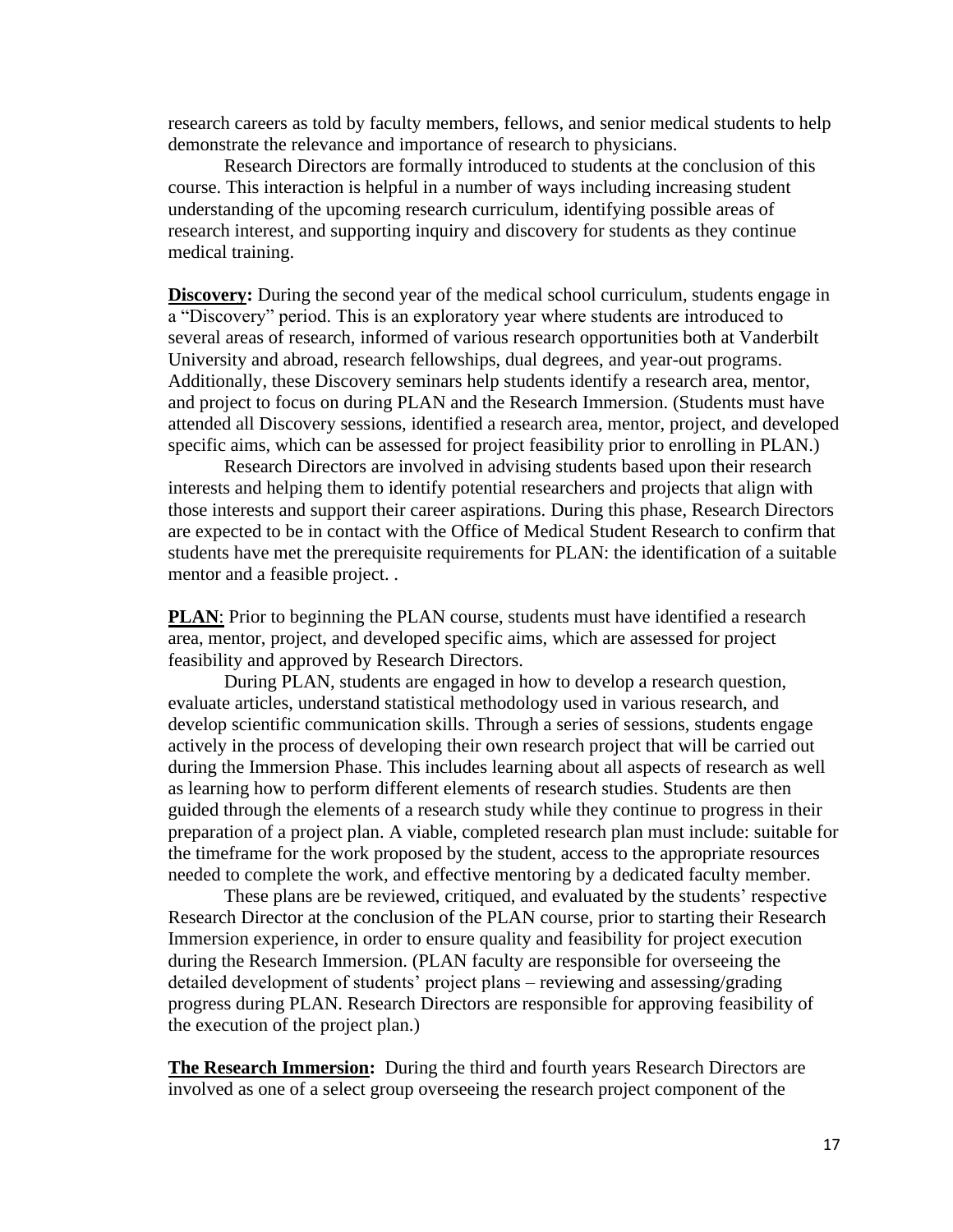research careers as told by faculty members, fellows, and senior medical students to help demonstrate the relevance and importance of research to physicians.

Research Directors are formally introduced to students at the conclusion of this course. This interaction is helpful in a number of ways including increasing student understanding of the upcoming research curriculum, identifying possible areas of research interest, and supporting inquiry and discovery for students as they continue medical training.

**Discovery:** During the second year of the medical school curriculum, students engage in a "Discovery" period. This is an exploratory year where students are introduced to several areas of research, informed of various research opportunities both at Vanderbilt University and abroad, research fellowships, dual degrees, and year-out programs. Additionally, these Discovery seminars help students identify a research area, mentor, and project to focus on during PLAN and the Research Immersion. (Students must have attended all Discovery sessions, identified a research area, mentor, project, and developed specific aims, which can be assessed for project feasibility prior to enrolling in PLAN.)

Research Directors are involved in advising students based upon their research interests and helping them to identify potential researchers and projects that align with those interests and support their career aspirations. During this phase, Research Directors are expected to be in contact with the Office of Medical Student Research to confirm that students have met the prerequisite requirements for PLAN: the identification of a suitable mentor and a feasible project. .

**PLAN**: Prior to beginning the PLAN course, students must have identified a research area, mentor, project, and developed specific aims, which are assessed for project feasibility and approved by Research Directors.

During PLAN, students are engaged in how to develop a research question, evaluate articles, understand statistical methodology used in various research, and develop scientific communication skills. Through a series of sessions, students engage actively in the process of developing their own research project that will be carried out during the Immersion Phase. This includes learning about all aspects of research as well as learning how to perform different elements of research studies. Students are then guided through the elements of a research study while they continue to progress in their preparation of a project plan. A viable, completed research plan must include: suitable for the timeframe for the work proposed by the student, access to the appropriate resources needed to complete the work, and effective mentoring by a dedicated faculty member.

These plans are be reviewed, critiqued, and evaluated by the students' respective Research Director at the conclusion of the PLAN course, prior to starting their Research Immersion experience, in order to ensure quality and feasibility for project execution during the Research Immersion. (PLAN faculty are responsible for overseeing the detailed development of students' project plans – reviewing and assessing/grading progress during PLAN. Research Directors are responsible for approving feasibility of the execution of the project plan.)

**The Research Immersion:** During the third and fourth years Research Directors are involved as one of a select group overseeing the research project component of the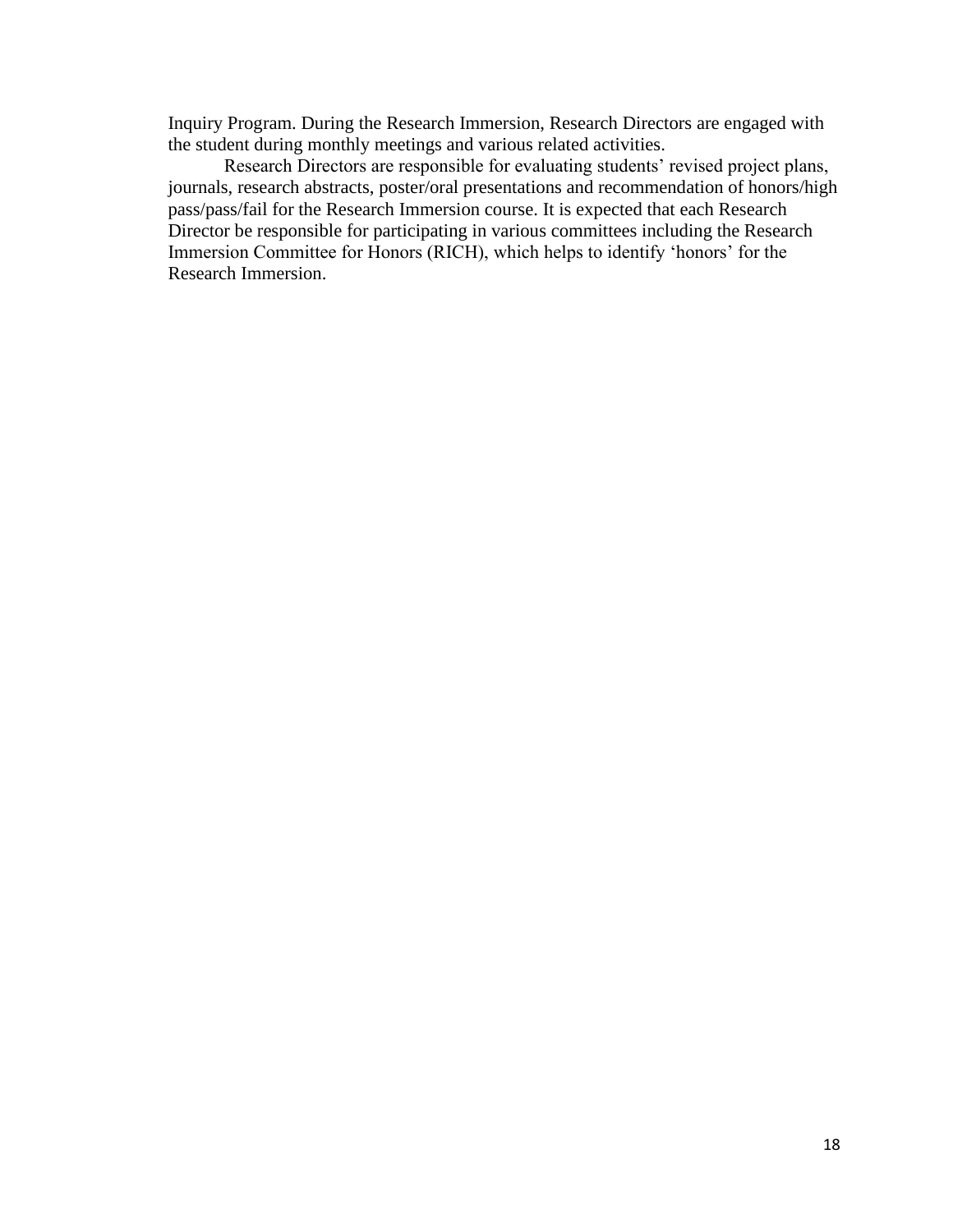Inquiry Program. During the Research Immersion, Research Directors are engaged with the student during monthly meetings and various related activities.

Research Directors are responsible for evaluating students' revised project plans, journals, research abstracts, poster/oral presentations and recommendation of honors/high pass/pass/fail for the Research Immersion course. It is expected that each Research Director be responsible for participating in various committees including the Research Immersion Committee for Honors (RICH), which helps to identify 'honors' for the Research Immersion.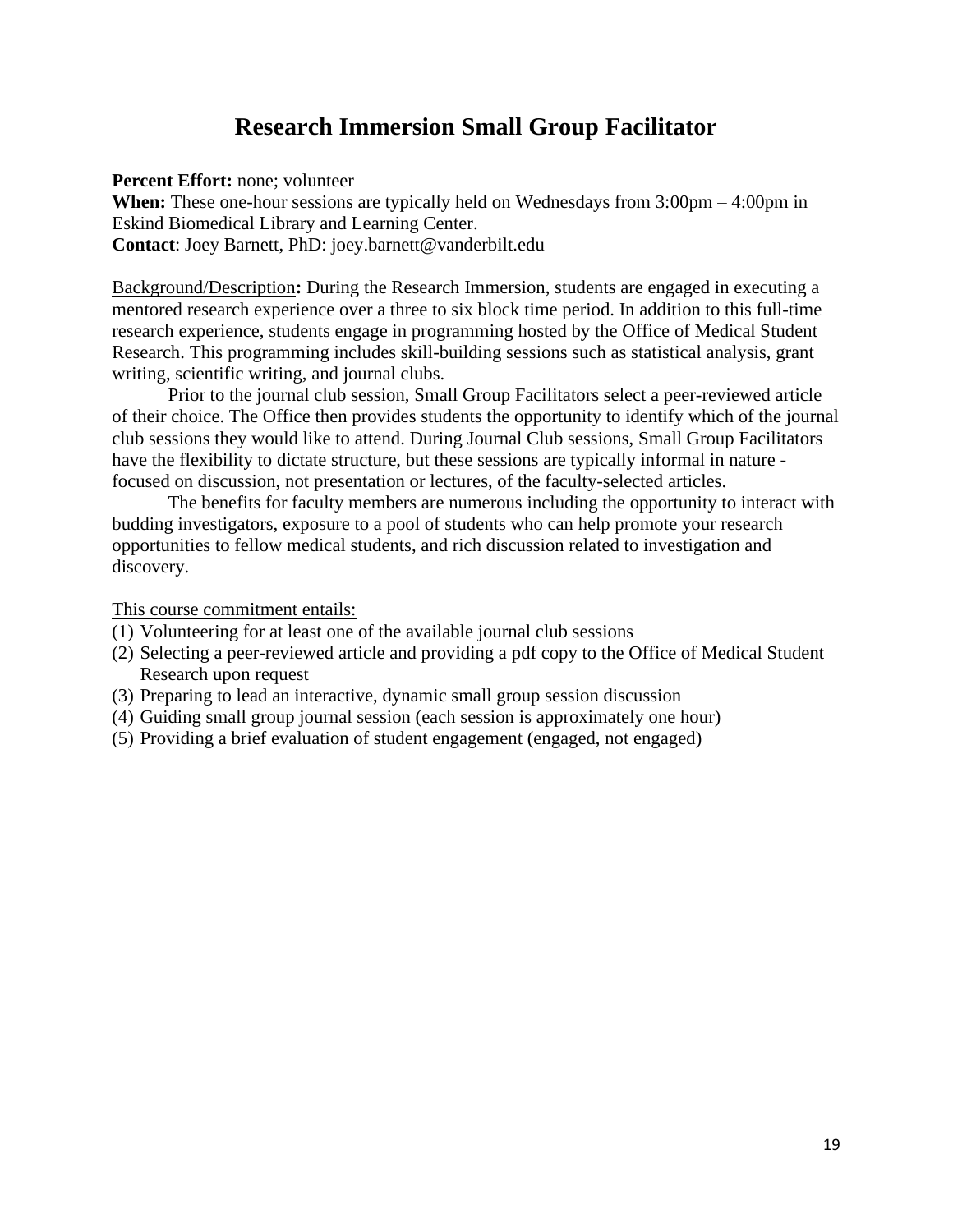## **Research Immersion Small Group Facilitator**

**Percent Effort:** none; volunteer

**When:** These one-hour sessions are typically held on Wednesdays from 3:00pm – 4:00pm in Eskind Biomedical Library and Learning Center. **Contact**: Joey Barnett, PhD: joey.barnett@vanderbilt.edu

Background/Description**:** During the Research Immersion, students are engaged in executing a mentored research experience over a three to six block time period. In addition to this full-time research experience, students engage in programming hosted by the Office of Medical Student Research. This programming includes skill-building sessions such as statistical analysis, grant writing, scientific writing, and journal clubs.

Prior to the journal club session, Small Group Facilitators select a peer-reviewed article of their choice. The Office then provides students the opportunity to identify which of the journal club sessions they would like to attend. During Journal Club sessions, Small Group Facilitators have the flexibility to dictate structure, but these sessions are typically informal in nature focused on discussion, not presentation or lectures, of the faculty-selected articles.

The benefits for faculty members are numerous including the opportunity to interact with budding investigators, exposure to a pool of students who can help promote your research opportunities to fellow medical students, and rich discussion related to investigation and discovery.

This course commitment entails:

- (1) Volunteering for at least one of the available journal club sessions
- (2) Selecting a peer-reviewed article and providing a pdf copy to the Office of Medical Student Research upon request
- (3) Preparing to lead an interactive, dynamic small group session discussion
- (4) Guiding small group journal session (each session is approximately one hour)
- (5) Providing a brief evaluation of student engagement (engaged, not engaged)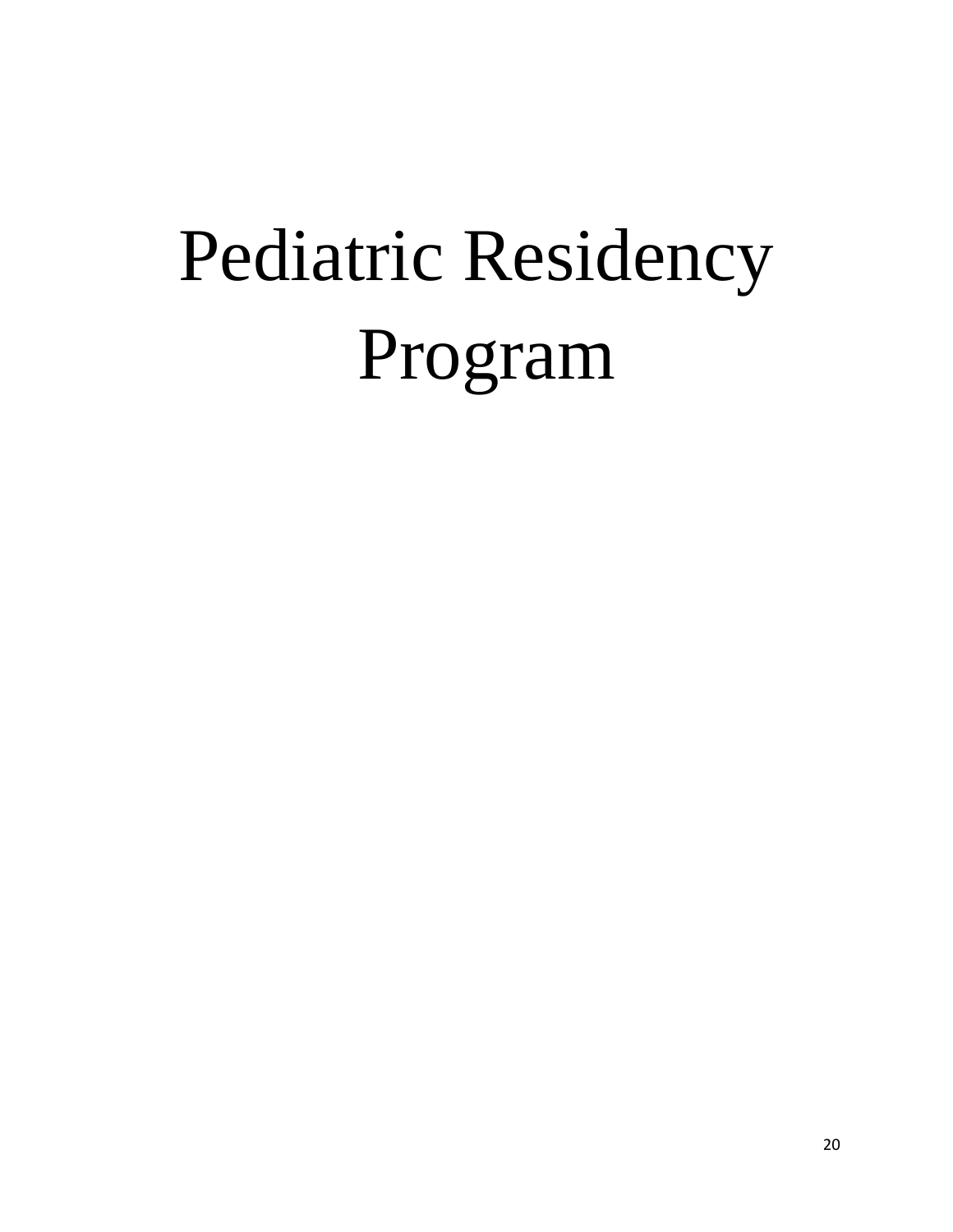# Pediatric Residency Program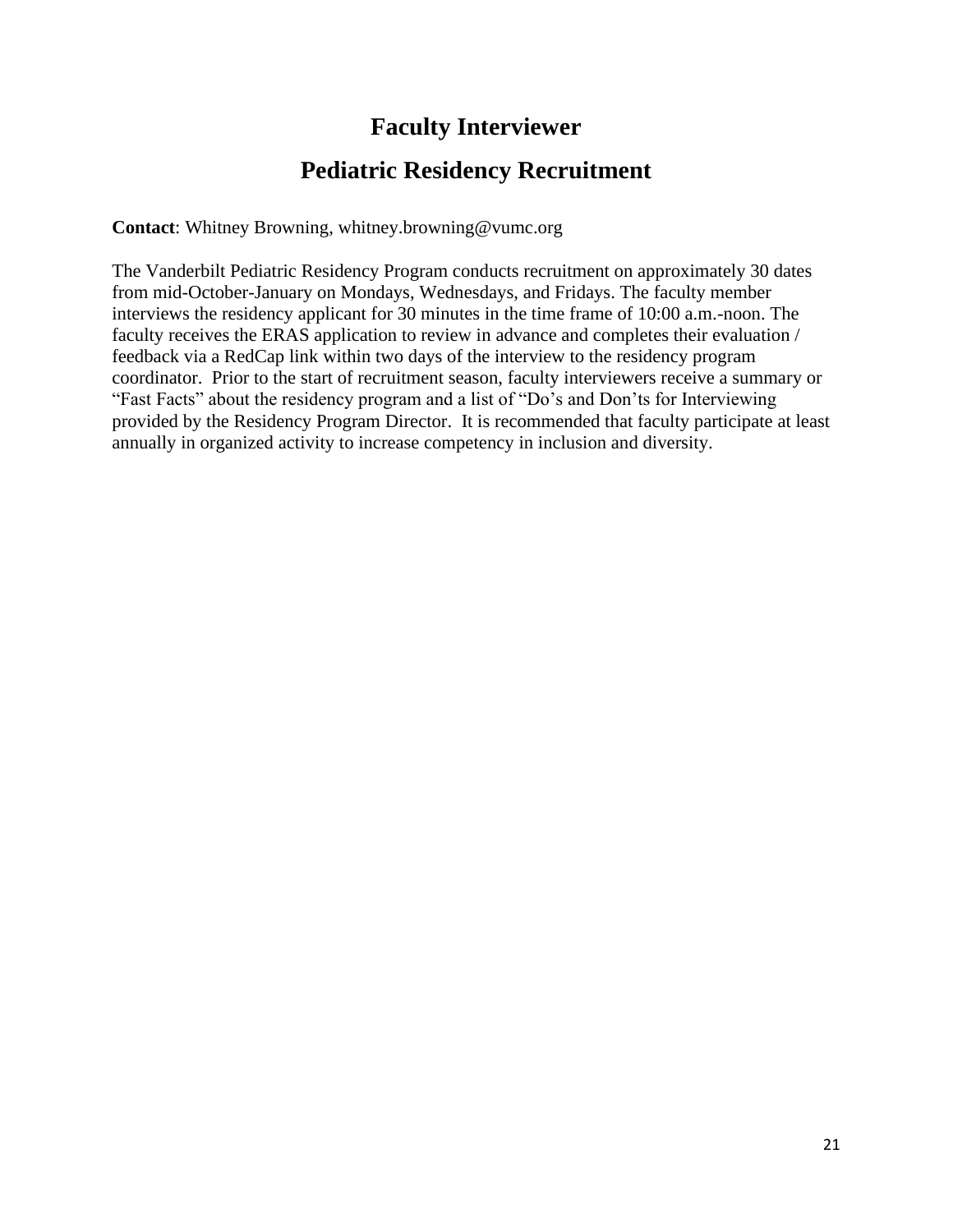## **Faculty Interviewer**

## **Pediatric Residency Recruitment**

**Contact**: Whitney Browning, whitney.browning@vumc.org

The Vanderbilt Pediatric Residency Program conducts recruitment on approximately 30 dates from mid-October-January on Mondays, Wednesdays, and Fridays. The faculty member interviews the residency applicant for 30 minutes in the time frame of 10:00 a.m.-noon. The faculty receives the ERAS application to review in advance and completes their evaluation / feedback via a RedCap link within two days of the interview to the residency program coordinator. Prior to the start of recruitment season, faculty interviewers receive a summary or "Fast Facts" about the residency program and a list of "Do's and Don'ts for Interviewing provided by the Residency Program Director. It is recommended that faculty participate at least annually in organized activity to increase competency in inclusion and diversity.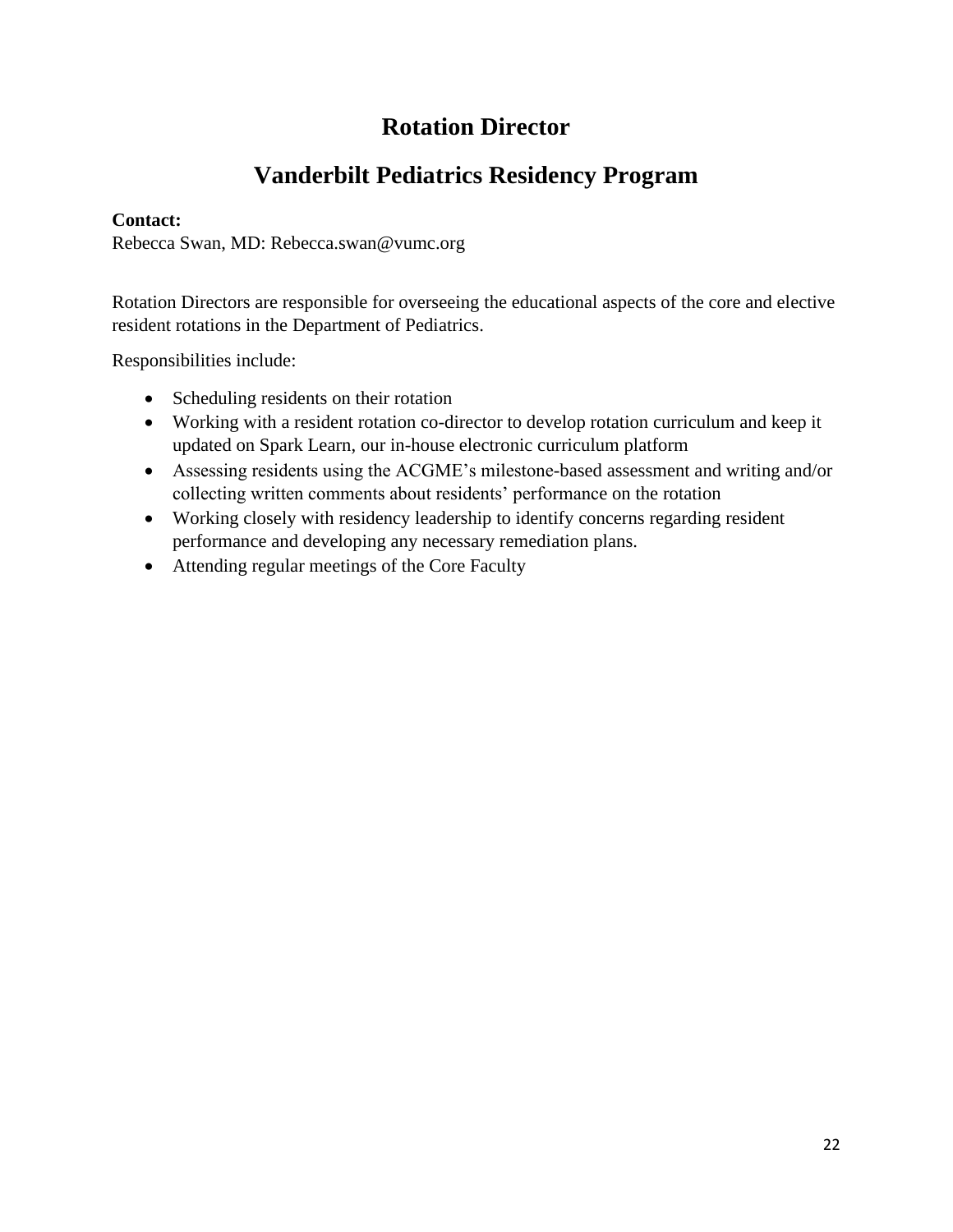## **Rotation Director**

## **Vanderbilt Pediatrics Residency Program**

#### **Contact:**

Rebecca Swan, MD: Rebecca.swan@vumc.org

Rotation Directors are responsible for overseeing the educational aspects of the core and elective resident rotations in the Department of Pediatrics.

Responsibilities include:

- Scheduling residents on their rotation
- Working with a resident rotation co-director to develop rotation curriculum and keep it updated on Spark Learn, our in-house electronic curriculum platform
- Assessing residents using the ACGME's milestone-based assessment and writing and/or collecting written comments about residents' performance on the rotation
- Working closely with residency leadership to identify concerns regarding resident performance and developing any necessary remediation plans.
- Attending regular meetings of the Core Faculty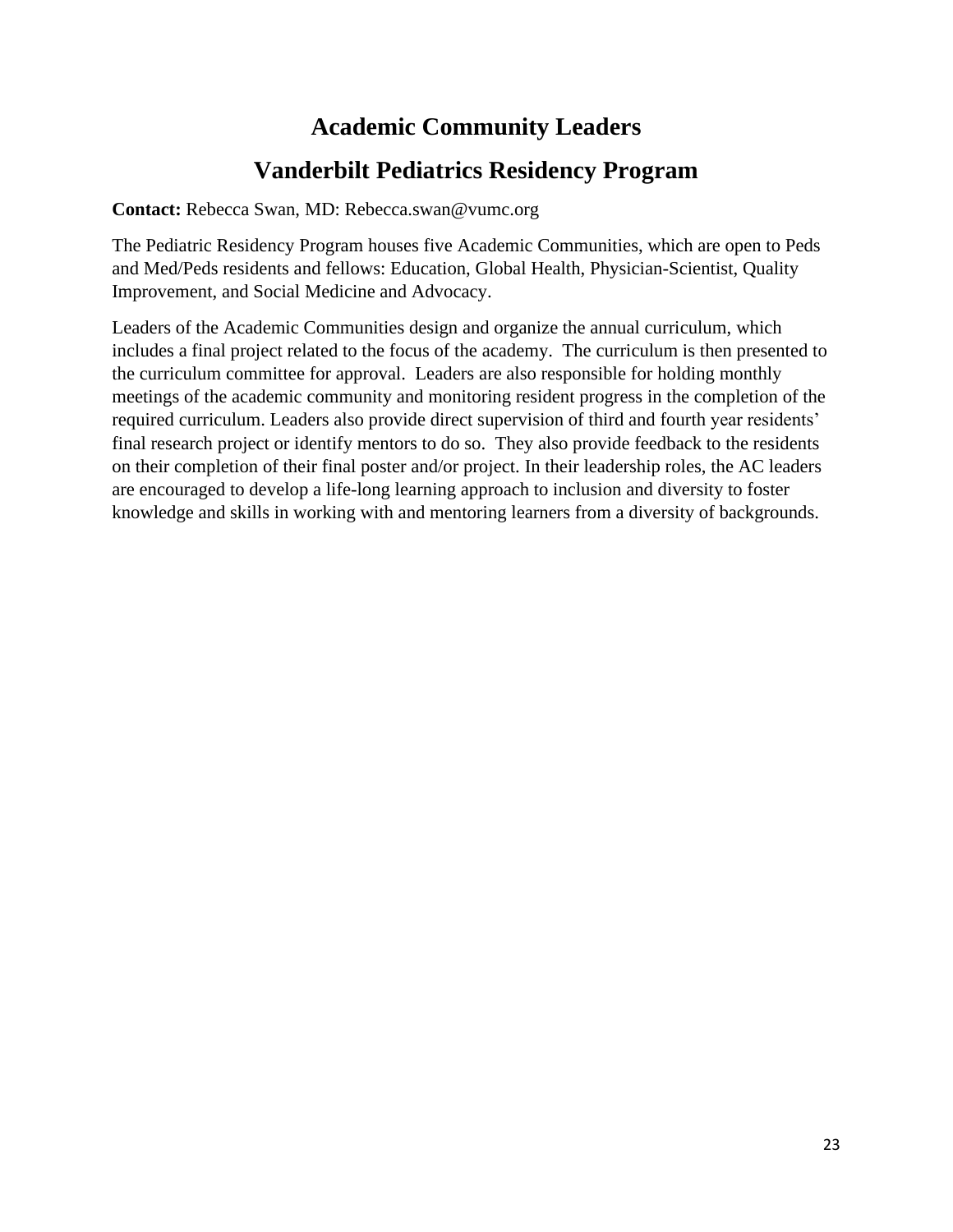## **Academic Community Leaders Vanderbilt Pediatrics Residency Program**

**Contact:** Rebecca Swan, MD: Rebecca.swan@vumc.org

The Pediatric Residency Program houses five Academic Communities, which are open to Peds and Med/Peds residents and fellows: Education, Global Health, Physician-Scientist, Quality Improvement, and Social Medicine and Advocacy.

Leaders of the Academic Communities design and organize the annual curriculum, which includes a final project related to the focus of the academy. The curriculum is then presented to the curriculum committee for approval. Leaders are also responsible for holding monthly meetings of the academic community and monitoring resident progress in the completion of the required curriculum. Leaders also provide direct supervision of third and fourth year residents' final research project or identify mentors to do so. They also provide feedback to the residents on their completion of their final poster and/or project. In their leadership roles, the AC leaders are encouraged to develop a life-long learning approach to inclusion and diversity to foster knowledge and skills in working with and mentoring learners from a diversity of backgrounds.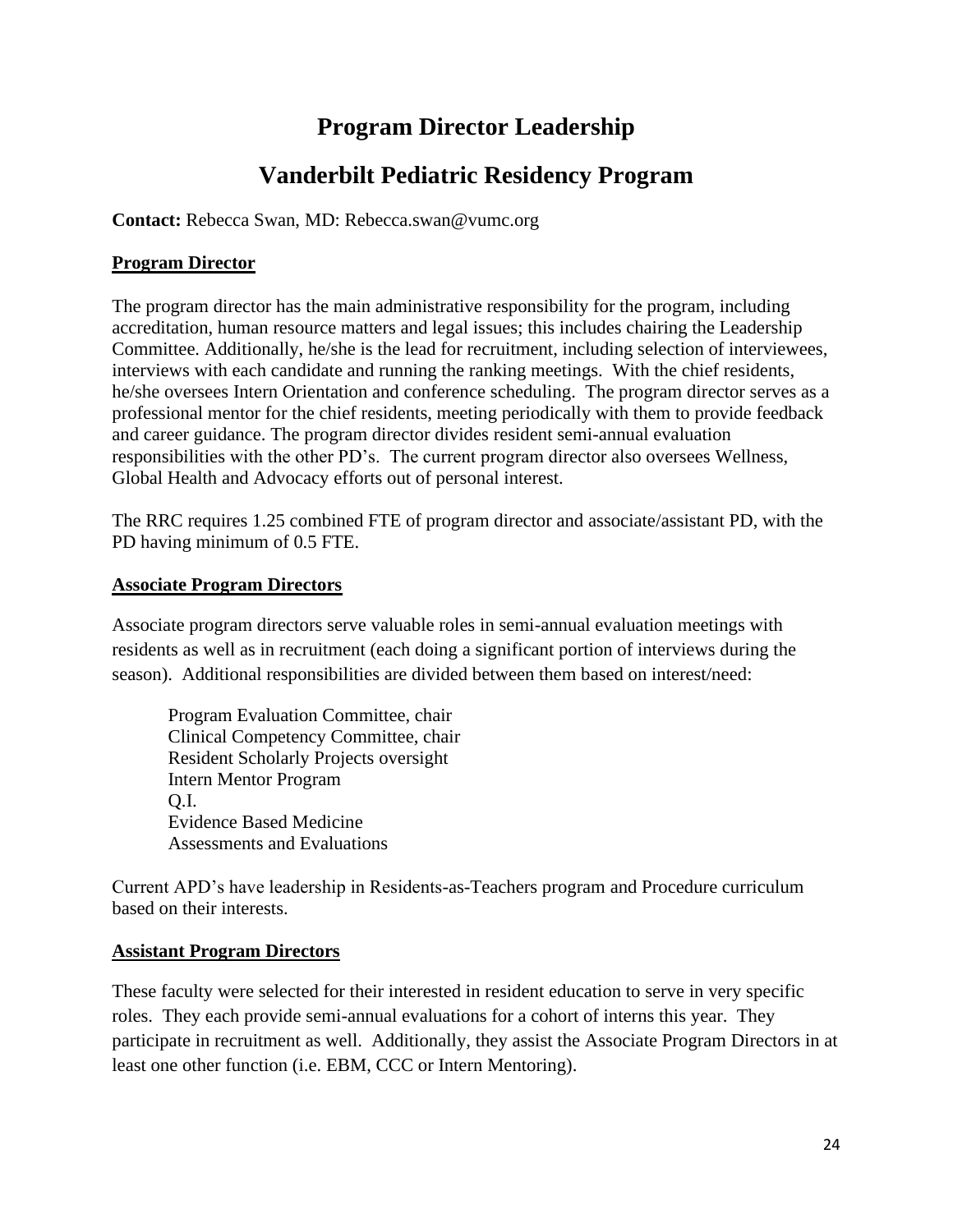## **Program Director Leadership**

## **Vanderbilt Pediatric Residency Program**

**Contact:** Rebecca Swan, MD: Rebecca.swan@vumc.org

#### **Program Director**

The program director has the main administrative responsibility for the program, including accreditation, human resource matters and legal issues; this includes chairing the Leadership Committee. Additionally, he/she is the lead for recruitment, including selection of interviewees, interviews with each candidate and running the ranking meetings. With the chief residents, he/she oversees Intern Orientation and conference scheduling. The program director serves as a professional mentor for the chief residents, meeting periodically with them to provide feedback and career guidance. The program director divides resident semi-annual evaluation responsibilities with the other PD's. The current program director also oversees Wellness, Global Health and Advocacy efforts out of personal interest.

The RRC requires 1.25 combined FTE of program director and associate/assistant PD, with the PD having minimum of 0.5 FTE.

#### **Associate Program Directors**

Associate program directors serve valuable roles in semi-annual evaluation meetings with residents as well as in recruitment (each doing a significant portion of interviews during the season). Additional responsibilities are divided between them based on interest/need:

Program Evaluation Committee, chair Clinical Competency Committee, chair Resident Scholarly Projects oversight Intern Mentor Program Q.I. Evidence Based Medicine Assessments and Evaluations

Current APD's have leadership in Residents-as-Teachers program and Procedure curriculum based on their interests.

#### **Assistant Program Directors**

These faculty were selected for their interested in resident education to serve in very specific roles. They each provide semi-annual evaluations for a cohort of interns this year. They participate in recruitment as well. Additionally, they assist the Associate Program Directors in at least one other function (i.e. EBM, CCC or Intern Mentoring).